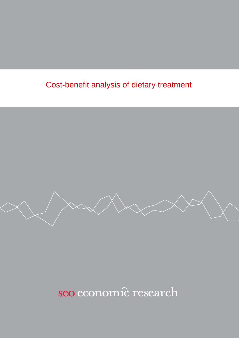# Cost-benefit analysis of dietary treatment



seo economic research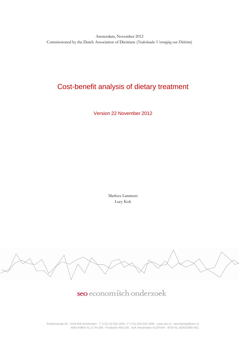Amsterdam, November 2012 Commissioned by the Dutch Association of Dietitians (*Nederlandse Vereniging van Diëtisten*)

# Cost-benefit analysis of dietary treatment

Version 22 November 2012

Marloes Lammers Lucy Kok



seo economisch onderzoek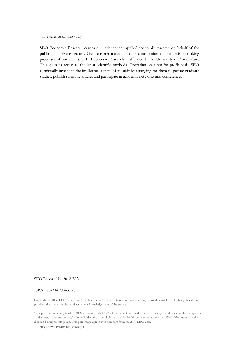"The science of knowing"

SEO Economic Research carries out independent applied economic research on behalf of the public and private sectors. Our research makes a major contribution to the decision-making processes of our clients. SEO Economic Research is affiliated to the University of Amsterdam. This gives us access to the latest scientific methods. Operating on a not-for-profit basis, SEO continually invests in the intellectual capital of its staff by arranging for them to pursue graduate studies, publish scientific articles and participate in academic networks and conferences

## SEO Report No. 2012-76A

#### ISBN 978-90-6733-668-0

Copyright © 2013 SEO Amsterdam. All rights reserved. Data contained in this report may be used in articles and other publications, provided that there is a clear and accurate acknowledgement of the source.

\*In a previous version (October 2012) we assumed that 55% of the patients of the dietitian is overweight and has a comborbidity such as diabetes, hypertension and/or hyperlipidaemia/hypercholesterolaemia. In this version we assume that 45% of the patients of the dietitian belong to this group. This percentage agrees with numbers from the 2010 LIPZ-data.

SEO ECONOMIC RESEARCH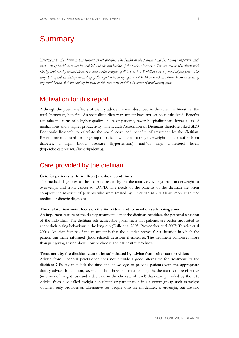# **Summary**

*Treatment by the dietitian has various social benefits. The health of the patient (and his family) improves, such that costs of health care can be avoided and the production of the patient increases. The treatment of patients with obesity and obesity-related diseases creates social benefits of € 0.4 to € 1.9 billion over a period of five years. For every € 1 spend on dietary counseling of these patients, society gets a net € 14 to € 63 in return: € 56 in terms of improved health, € 3 net savings in total health care costs and € 4 in terms of productivity gains.*

# Motivation for this report

Although the positive effects of dietary advice are well described in the scientific literature, the total (monetary) benefits of a specialized dietary treatment have not yet been calculated. Benefits can take the form of a higher quality of life of patients, fewer hospitalizations, lower costs of medications and a higher productivity. The Dutch Association of Dietitians therefore asked SEO Economic Research to calculate the social costs and benefits of treatment by the dietitian. Benefits are calculated for the group of patients who are not only overweight but also suffer from diabetes, a high blood pressure (hypertension), and/or high cholesterol levels (hypercholesterolemia/hyperlipidemia).

# Care provided by the dietitian

### **Care for patients with (multiple) medical conditions**

The medical diagnoses of the patients treated by the dietitian vary widely: from underweight to overweight and from cancer to COPD. The needs of the patients of the dietitian are often complex: the majority of patients who were treated by a dietitian in 2010 have more than one medical or dietetic diagnosis.

### **The dietary treatment: focus on the individual and focused on self-management**

An important feature of the dietary treatment is that the dietitian considers the personal situation of the individual. The dietitian sets achievable goals, such that patients are better motivated to adapt their eating behaviour in the long run (Dalle et al 2005; Provencher et al 2007; Teixeira et al 2004). Another feature of the treatment is that the dietitian strives for a situation in which the patient can make informed (food related) decisions themselves. The treatment comprises more than just giving advice about how to choose and eat healthy products.

### **Treatment by the dietitian cannot be substituted by advice from other careproviders**

Advice from a general practitioner does not provide a good alternative for treatment by the dietitian: GPs say they lack the time and knowledge to provide patients with the appropriate dietary advice. In addition, several studies show that treatment by the dietitian is more effective (in terms of weight loss and a decrease in the cholesterol level) than care provided by the GP. Advice from a so-called 'weight consultant' or participation in a support group such as weight watchers only provides an alternative for people who are moderately overweight, but are not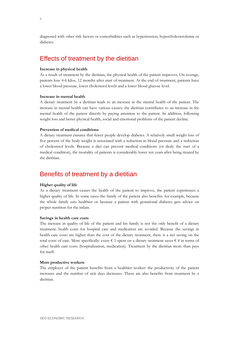diagnosed with other risk factors or comorbidities such as hypertension, hypercholesterolemia or diabetes.

# Effects of treatment by the dietitian

### **Increase in physical health**

As a result of treatment by the dietitian, the physical health of the patient improves. On average, patients lose 4-6 kilos, 12 months after start of treatment. At the end of treatment, patients have a lower blood pressure, lower cholesterol levels and a lower blood glucose level.

#### **Increase in mental health**

A dietary treatment by a dietitian leads to an increase in the mental health of the patient. The increase in mental health can have various causes: the dietitian contributes to an increase in the mental health of the patient directly by paying attention to the patient. In addition, following weight loss and better physical health, social and emotional problems of the patient decline.

## **Prevention of medical conditions**

A dietary treatment ensures that fewer people develop diabetes. A relatively small weight loss of five percent of the body weight is associated with a reduction in blood pressure and a reduction of cholesterol levels. Because a diet can prevent medical conditions (or dealy the start of a medical condition), the mortality of patients is considerably lower ten years after being treated by the dietitian.

# Benefits of treatment by a dietitian

#### **Higher quality of life**

As a dietary treatment causes the health of the patient to improve, the patient experiences a higher quality of life. In some cases the family of the patient also benefits: for example, because the whole family eats healthier or because a patient with gestational diabetes gets advice on proper nutrition for the infant.

#### **Savings in health care costs**

The increase in quality of life of the patient and his family is not the only benefit of a dietary treatment: health costs for hospital care and medication are avoided. Because the savings in health care costs are higher than the cost of the dietary treatment, there is a net saving on the total costs of care. More specifically: every  $\epsilon$  1 spent on a dietary treatment saves  $\epsilon$  4 in terms of other health care costs (hospitalization, medication). Treatment by the dietitian more than pays for itself.

### **More productive workers**

The employer of the patient benefits from a healthier worker: the productivity of the patient increases and the number of sick days decreases. These are also benefits from treatment by a dietitian.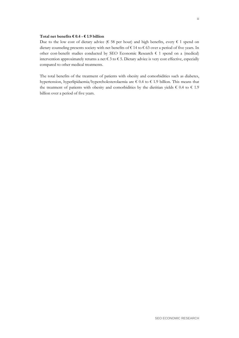## **Total net benefits € 0.4 - € 1.9 billion**

Due to the low cost of dietary advice (€ 58 per hour) and high benefits, every € 1 spend on dietary counseling presents society with net benefits of € 14 to € 63 over a period of five years. In other cost-benefit studies conducted by SEO Economic Research  $\epsilon$  1 spend on a (medical) intervention approximately returns a net € 3 to € 5. Dietary advice is very cost effective, especially compared to other medical treatments.

The total benefits of the treatment of patients with obesity and comorbidities such as diabetes, hypertension, hyperlipidaemia/hypercholesterolaemia are € 0.4 to € 1.9 billion. This means that the treatment of patients with obesity and comorbidities by the dietitian yields  $\epsilon$  0.4 to  $\epsilon$  1.9 billion over a period of five years.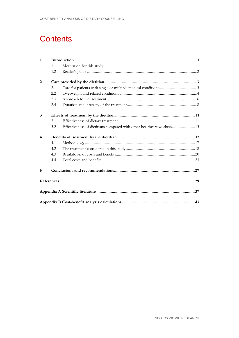# **Contents**

| $\mathbf{1}$   |     |                                                                       |  |
|----------------|-----|-----------------------------------------------------------------------|--|
|                | 1.1 |                                                                       |  |
|                | 1.2 |                                                                       |  |
| 2              |     |                                                                       |  |
|                | 2.1 |                                                                       |  |
|                | 2.2 |                                                                       |  |
|                | 2.3 |                                                                       |  |
|                | 2.4 |                                                                       |  |
| 3              |     |                                                                       |  |
|                | 3.1 |                                                                       |  |
|                | 3.2 | Effectiveness of dietitians compared with other healthcare workers 13 |  |
| $\overline{4}$ |     |                                                                       |  |
|                | 4.1 |                                                                       |  |
|                | 4.2 |                                                                       |  |
|                | 4.3 |                                                                       |  |
|                | 4.4 |                                                                       |  |
| 5              |     |                                                                       |  |
|                |     |                                                                       |  |
|                |     |                                                                       |  |
|                |     |                                                                       |  |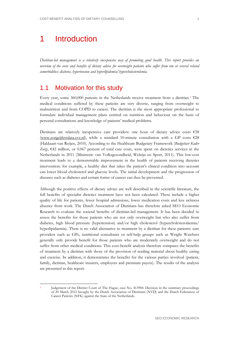# <span id="page-10-0"></span>1 Introduction

*Dietitian-led management is a relatively inexpensive way of promoting good health. This report provides an overview of the costs and benefits of dietary advice for overweight patients who suffer from one or several related comorbidities: diabetes, hypertension and hyperlipidemia/hypercholesterolemia.*

# <span id="page-10-1"></span>1.1 Motivation for this study

Every year, some 360,000 patients in the Netherlands receive treatment from a dietitian.[1](#page-10-2) The medical conditions suffered by these patients are very diverse, ranging from overweight to malnutrition and from COPD to cancer. The dietitian is the most appropriate professional to formulate individual management plans centred on nutrition and behaviour on the basis of personal consultations and knowledge of patients' medical problems.

Dietitians are relatively inexpensive care providers: one hour of dietary advice costs  $\epsilon$ 58 [\(www.zorgcijfersdata.cvz.nl\)](http://www.zorgcijfersdata.cvz.nl/), while a standard 10-minute consultation with a GP costs €28 (Hakkaart-van Roijen, 2010). According to the Healthcare Budgetary Framework (*Budgettair Kader Zorg*), €42 million, or 0.067 percent of total care costs, were spent on dietetics services in the Netherlands in 2011 (Ministerie van Volksgezondheid, Welzijn en Sport, 2011). This low-cost treatment leads to a demonstrable improvement in the health of patients receiving dietetics intervention: for example, a healthy diet that takes the patient's clinical condition into account can lower blood cholesterol and glucose levels. The initial development and the progression of diseases such as diabetes and certain forms of cancer can thus be prevented.

Although the positive effects of dietary advice are well described in the scientific literature, the full benefits of specialist dietetics treatment have not been calculated. These include a higher quality of life for patients, fewer hospital admissions, lower medication costs and less sickness absence from work. The Dutch Association of Dietitians has therefore asked SEO Economic Research to evaluate the societal benefits of dietitian-led management. It has been decided to assess the benefits for those patients who are not only overweight but who also suffer from diabetes, high blood pressure (hypertension) and/or high cholesterol (hypercholesterolaemia/ hyperlipidaemia). There is no valid alternative to treatment by a dietitian for these patients: care providers such as GPs, nutritional consultants or self-help groups such as Weight Watchers generally only provide benefit for those patients who are moderately overweight and do not suffer from other medical conditions. This cost-benefit analysis therefore compares the benefits of treatment by a dietitian with those of the provision of reading material about healthy eating and exercise. In addition, it demonstrates the benefits for the various parties involved (patient, family, dietitian, healthcare insurers, employers and premium payers). The results of the analysis are presented in this report.

<span id="page-10-2"></span> <sup>1</sup> Judgement of the District Court of The Hague, case No. 413984. Decision in the summary proceedings of 20 March 2012 brought by the Dutch Association of Dietitians (NVD) and the Dutch Federation of Cancer Patients (NFK) against the State of the Netherlands.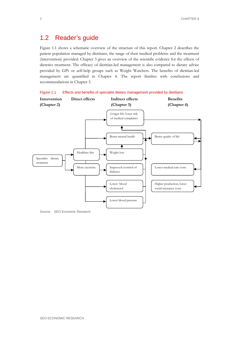# <span id="page-11-0"></span>1.2 Reader's guide

Figure 1.1 shows a schematic overview of the structure of this report. Chapter 2 describes the patient population managed by dietitians, the range of their medical problems and the treatment (intervention) provided. Chapter 3 gives an overview of the scientific evidence for the effects of dietetics treatment. The efficacy of dietitian-led management is also compared to dietary advice provided by GPs or self-help groups such as Weight Watchers. The benefits of dietitian-led management are quantified in Chapter 4. The report finishes with conclusions and recommendations in Chapter 5.





Source: SEO Economic Research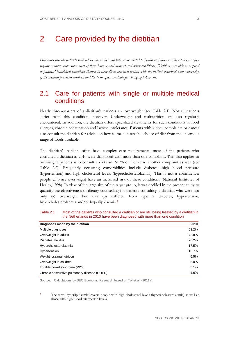# <span id="page-12-0"></span>2 Care provided by the dietitian

*Dietitians provide patients with advice about diet and behaviour related to health and disease. These patients often require complex care, since most of them have several medical and other conditions. Dietitians are able to respond to patients' individual situations thanks to their direct personal contact with the patient combined with knowledge of the medical problems involved and the techniques available for changing behaviour.*

# <span id="page-12-1"></span>2.1 Care for patients with single or multiple medical conditions

Nearly three-quarters of a dietitian's patients are overweight (see [Table 2.1\)](#page-12-2). Not all patients suffer from this condition, however. Underweight and malnutrition are also regularly encountered. In addition, the dietitian offers specialized treatments for such conditions as food allergies, chronic constipation and lactose intolerance. Patients with kidney complaints or cancer also consult the dietitian for advice on how to make a sensible choice of diet from the enormous range of foods available.

The dietitian's patients often have complex care requirements: most of the patients who consulted a dietitian in 2010 were diagnosed with more than one complaint. This also applies to overweight patients who consult a dietitian: 61 % of them had another complaint as well (see [Table 2.2\)](#page-13-1). Frequently occurring comorbidities include diabetes, high blood pressure (hypertension) and high cholesterol levels (hypercholesterolaemia). This is not a coincidence: people who are overweight have an increased risk of these conditions (National Institutes of Health, 1998). In view of the large size of the target group, it was decided in the present study to quantify the effectiveness of dietary counselling for patients consulting a dietitian who were not only (a) overweight but also (b) suffered from type 2 diabetes, hypertension, hypercholesterolaemia and/or hyperlipidaemia.[2](#page-12-3)

| Diagnoses made by the dietitian              | 2010  |
|----------------------------------------------|-------|
| Multiple diagnoses                           | 53.2% |
| Overweight in adults                         | 72.8% |
| Diabetes mellitus                            | 26.2% |
| Hypercholesterolaemia                        | 17.5% |
| Hypertension                                 | 15.7% |
| Weight loss/malnutrition                     | 6.5%  |
| Overweight in children                       | 5.0%  |
| Irritable bowel syndrome (PDS)               | 5.1%  |
| Chronic obstructive pulmonary disease (COPD) | 1.6%  |

<span id="page-12-2"></span>Table 2.1 Most of the patients who consulted a dietitian or are still being treated by a dietitian in the Netherlands in 2010 have been diagnosed with more than one condition

Source: Calculations by SEO Economic Research based on Tol et al. (2011a).

<span id="page-12-3"></span> 2 The term 'hyperlipidaemia' covers people with high cholesterol levels (hypercholesterolaemia) as well as those with high blood triglyceride levels.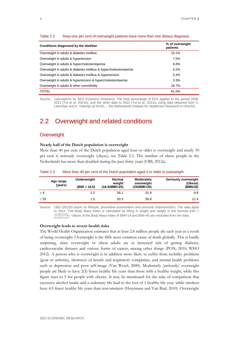| Conditions diagnosed by the dietitian                            | % of overweight<br>patients |
|------------------------------------------------------------------|-----------------------------|
| Overweight in adults & diabetes mellitus                         | 15.1%                       |
| Overweight in adults & hypertension                              | 7.5%                        |
| Overweight in adults & hypercholesterolaemia                     | 6.8%                        |
| Overweight in adults & diabetes mellitus & hypercholesterolaemia | 6.2%                        |
| Overweight in adults & diabetes mellitus & hypertension          | 5.4%                        |
| Overweight in adults & hypertension & hypercholesterolaemia      | 3.3%                        |
| Overweight in adults & other comorbidity                         | 16.7%                       |
| <b>TOTAL</b>                                                     | 61.0%                       |

#### <span id="page-13-1"></span>Table 2.2 Sixty-one per cent of overweight patients have more than one dietary diagnosis

Source: Calculations by SEO Economic Research. The total percentage of 61% applies to the period 2006- 2011 (Tol et al. 2011b), and the other data to 2010 (Tol et al. 2011a; using data obtained from C. Leemrijse and K. Valentijn at NIVEL – the Netherlands Institute for Healthcare Research in Utrecht).

# <span id="page-13-0"></span>2.2 Overweight and related conditions

# **Overweight**

#### **Nearly half of the Dutch population is overweight**

More than 40 per cent of the Dutch population aged four or older is overweight and nearly 10 per cent is seriously overweight (obese); see [Table 2.3.](#page-13-2) The number of obese people in the Netherlands has more than doubled during the past thirty years (CBS, 2012a).

|           | Age range<br>(years) | Underweight<br>(BMI < 18.5) | Normal<br>weight<br>(18.5≤BMI<25) | Moderately<br>overweight<br>(25≤BMI<30) | Seriously overweight<br>(Obese)<br>(BMI≥30) |
|-----------|----------------------|-----------------------------|-----------------------------------|-----------------------------------------|---------------------------------------------|
| >4        |                      | 2.2                         | 56.1                              | 31.9                                    | 9.8                                         |
| $\geq 20$ |                      | 1.5                         | 50.3                              | 36.8                                    | 11.4                                        |

#### <span id="page-13-2"></span>Table 2.3 More than 40 per cent of the Dutch population aged 4 or older is overweight

Source: CBS (2012b) report on lifestyle, preventive examination and personal characteristics. The data apply to 2011. The Body Mass Index is calculated by filling in height and weight in the formula  $BMI =$  $\frac{weight \, in \, kg}{(height \, in \, m)^2}$ . Values of the Body Mass Index of BMI<14 and BMI>45 are excluded from the data.

#### **Overweight leads to severe health risks**

The World Health Organization estimates that at least 2.8 million people die each year as a result of being overweight. Overweight is the fifth most common cause of death globally. This is hardly surprising, since overweight or obese adults are at increased risk of getting diabetes, cardiovascular diseases and various forms of cancer, among other things (PON, 2010; WHO 2012). A person who is overweight is in addition more likely to suffer from mobility problems (gout or arthritis), shortness of breath and respiratory complaints, and mental health problems such as depression and poor self-image (Van Wezel, 2000). Moderately (seriously) overweight people are likely to have 2(5) fewer healthy life years than those with a healthy weight, while this figure rises to 5 for people with obesity. It may be mentioned for the sake of comparison that excessive alcohol intake and a sedentary life lead to the loss of 1 healthy life year, while smokers have 4.5 fewer healthy life years than non-smokers (Hoeymans and Van Baal, 2010). Overweight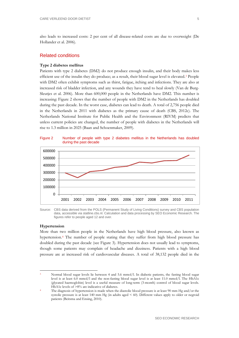# Related conditions

#### **Type 2 diabetes mellitus**

Patients with type 2 diabetes (DM2) do not produce enough insulin, and their body makes less efficient use of the insulin they do produce; as a result, their blood sugar level is elevated.[3](#page-14-1) People with DM2 often exhibit symptoms such as thirst, fatigue, itching and infections. They are also at increased risk of bladder infection, and any wounds they have tend to heal slowly (Van de Burg-Sleutjes et al. 2006). More than 600,000 people in the Netherlands have DM2. This number is increasing: [Figure 2](#page-14-0) shows that the number of people with DM2 in the Netherlands has doubled during the past decade. In the worst case, diabetes can lead to death. A total of 2,756 people died in the Netherlands in 2011 with diabetes as the primary cause of death (CBS, 2012c). The Netherlands National Institute for Public Health and the Environment (RIVM) predicts that unless current policies are changed, the number of people with diabetes in the Netherlands will rise to 1.3 million in 2025 (Baan and Schoenmaker, 2009).

<span id="page-14-0"></span>



Source: CBS data derived from the POLS (Permanent Study of Living Conditions) survey and CBS population data, accessible via statline.cbs.nl. Calculation and data processing by SEO Economic Research. The figures refer to people aged 12 and over.

#### **Hypertension**

More than two million people in the Netherlands have high blood pressure, also known as hypertension.[4](#page-14-2) The number of people stating that they suffer from high blood pressure has doubled during the past decade (see [Figure 3\)](#page-15-1). Hypertension does not usually lead to symptoms, though some patients may complain of headache and dizziness. Patients with a high blood pressure are at increased risk of cardiovascular diseases. A total of 38,132 people died in the

<span id="page-14-1"></span> <sup>3</sup> Normal blood sugar levels lie between 4 and 5.6 mmol/l. In diabetic patients, the fasting blood sugar level is at least 6.0 mmol/l and the non-fasting blood sugar level is at least 11.0 mmol/l. The HbA1c (glycated haemoglobin) level is a useful measure of long-term (3-month) control of blood sugar levels. HbA1c levels of >8% are indicative of diabetes.

<span id="page-14-2"></span>The diagnosis of hypertension is made when the diastolic blood pressure is at least 90 mm Hg and/or the systolic pressure is at least 140 mm Hg (in adults aged < 60). Different values apply to older or negroid patients (Beitsma and Ensing, 2010).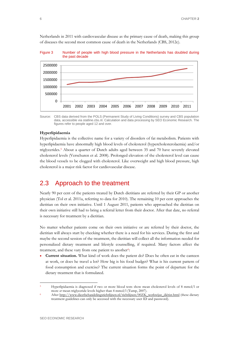Netherlands in 2011 with cardiovascular disease as the primary cause of death, making this group of diseases the second most common cause of death in the Netherlands (CBS, 2012c).

<span id="page-15-1"></span>Figure 3 Number of people with high blood pressure in the Netherlands has doubled during the past decade



Source: CBS data derived from the POLS (Permanent Study of Living Conditions) survey and CBS population data, accessible via statline.cbs.nl. Calculation and data processing by SEO Economic Research. The figures refer to people aged 12 and over.

### **Hyperlipidaemia**

Hyperlipidaemia is the collective name for a variety of disorders of fat metabolism. Patients with hyperlipidaemia have abnormally high blood levels of cholesterol (hypercholesterolaemia) and/or triglycerides.[5](#page-15-2) About a quarter of Dutch adults aged between 35 and 70 have severely elevated cholesterol levels (Verschuren et al. 2008). Prolonged elevation of the cholesterol level can cause the blood vessels to be clogged with cholesterol. Like overweight and high blood pressure, high cholesterol is a major risk factor for cardiovascular disease.

# <span id="page-15-0"></span>2.3 Approach to the treatment

Nearly 90 per cent of the patients treated by Dutch dietitians are referred by their GP or another physician (Tol et al. 2011a, referring to data for 2010). The remaining 10 per cent approaches the dietitian on their own initiative. Until 1 August 2011, patients who approached the dietitian on their own initiative still had to bring a referral letter from their doctor. After that date, no referral is necessary for treatment by a dietitian.

No matter whether patients come on their own initiative or are referred by their doctor, the dietitian will always start by checking whether there is a need for his services. During the first and maybe the second session of the treatment, the dietitian will collect all the information needed for personalized dietary treatment and lifestyle counselling, if required. Many factors affect the treatment, and these vary from one patient to another<sup>[6](#page-15-3)</sup>:

• **Current situation.** What kind of work does the patient do? Does he often eat in the canteen at work, or does he travel a lot? How big is his food budget? What is his current pattern of food consumption and exercise? The current situation forms the point of departure for the dietary treatment that is formulated.

<span id="page-15-2"></span> <sup>5</sup> Hyperlipidaemia is diagnosed if two or more blood tests show mean cholesterol levels of 8 mmol/l or more *or* mean triglyceride levels higher than 4 mmol/l (Tump, 2007).

<span id="page-15-3"></span>After [http://www.dieetbehandelingsrichtlijnen.nl/richtlijnen/00ZK\\_werkwijze\\_diëtist.html](http://www.dieetbehandelingsrichtlijnen.nl/richtlijnen/00ZK_werkwijze_diëtist.html) (these dietary treatment guidelines can only be accessed with the necessary user ID and password).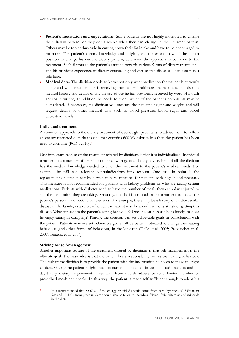- Patient's motivation and expectations. Some patients are not highly motivated to change their dietary pattern, or they don't realize what they can change in their current pattern. Others may be too enthusiastic in cutting down their fat intake and have to be encouraged to eat more. The patient's dietary knowledge and insights, and the extent to which he is in a position to change his current dietary pattern, determine the approach to be taken to the treatment. Such factors as the patient's attitude towards various forms of dietary treatment – and his previous experience of dietary counselling and diet-related diseases – can also play a role here.
- **Medical data.** The dietitian needs to know not only what medication the patient is currently taking and what treatment he is receiving from other healthcare professionals, but also his medical history and details of any dietary advice he has previously received by word of mouth and/or in writing. In addition, he needs to check which of the patient's complaints may be diet-related. If necessary, the dietitian will measure the patient's height and weight, and will request details of other medical data such as blood pressure, blood sugar and blood cholesterol levels.

## **Individual treatment**

A common approach to the dietary treatment of overweight patients is to advise them to follow an energy-restricted diet, that is one that contains 600 kilocalories less than the patient has been used to consume (PON, 2010)[.7](#page-16-0)

One important feature of the treatment offered by dietitians is that it is individualized. Individual treatment has a number of benefits compared with general dietary advice. First of all, the dietitian has the medical knowledge needed to tailor the treatment to the patient's medical needs. For example, he will take relevant contraindications into account. One case in point is the replacement of kitchen salt by certain mineral mixtures for patients with high blood pressure. This measure is not recommended for patients with kidney problems or who are taking certain medications. Patients with diabetes need to have the number of meals they eat a day adjusted to suit the medication they are taking. Secondly, the dietitian can adapt the treatment to match the patient's personal and social characteristics. For example, there may be a history of cardiovascular disease in the family, as a result of which the patient may be afraid that he is at risk of getting this disease. What influences the patient's eating behaviour? Does he eat because he is lonely, or does he enjoy eating in company? Thirdly, the dietitian can set achievable goals in consultation with the patient. Patients who are set achievable goals will be better motivated to change their eating behaviour (and other forms of behaviour) in the long run (Dalle et al. 2005; Provencher et al. 2007; Teixeira et al. 2004).

### **Striving for self-management**

Another important feature of the treatment offered by dietitians is that self-management is the ultimate goal. The basic idea is that the patient bears responsibility for his own eating behaviour. The task of the dietitian is to provide the patient with the information he needs to make the right choices. Giving the patient insight into the nutrients contained in various food products and his day-to-day dietary requirements frees him from slavish adherence to a limited number of prescribed meals and snacks. In this way, the patient is made self-sufficient enough to adapt his

<span id="page-16-0"></span> <sup>7</sup> It is recommended that 55-60% of the energy provided should come from carbohydrates, 30-35% from fats and 10-15% from protein. Care should also be taken to include sufficient fluid, vitamins and minerals in the diet.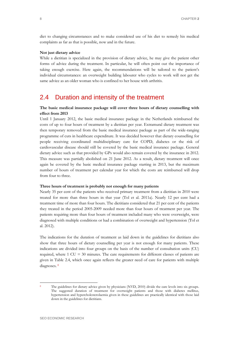diet to changing circumstances and to make considered use of his diet to remedy his medical complaints as far as that is possible, now and in the future.

## **Not just dietary advice**

While a dietitian is specialized in the provision of dietary advice, he may give the patient other forms of advice during the treatment. In particular, he will often point out the importance of taking enough exercise. Here again, the recommendations will be tailored to the patient's individual circumstances: an overweight building labourer who cycles to work will not get the same advice as an older woman who is confined to her house with arthritis.

# <span id="page-17-0"></span>2.4 Duration and intensity of the treatment

# **The basic medical insurance package will cover three hours of dietary counselling with effect from 2013**

Until 1 January 2012, the basic medical insurance package in the Netherlands reimbursed the costs of up to four hours of treatment by a dietitian per year. Extramural dietary treatment was then temporary removed from the basic medical insurance package as part of the wide-ranging programme of cuts in healthcare expenditure. It was decided however that dietary counselling for people receiving coordinated multidisciplinary care for COPD, diabetes or the risk of cardiovascular disease should still be covered by the basic medical insurance package. General dietary advice such as that provided by GPs would also remain covered by the insurance in 2012. This measure was partially abolished on 21 June 2012. As a result, dietary treatment will once again be covered by the basic medical insurance package starting in 2013, but the maximum number of hours of treatment per calendar year for which the costs are reimbursed will drop from four to three.

## **Three hours of treatment is probably not enough for many patients**

Nearly 35 per cent of the patients who received primary treatment from a dietitian in 2010 were treated for more than three hours in that year (Tol et al. 2011a). Nearly 12 per cent had a treatment time of more than four hours. The dietitians considered that 21 per cent of the patients they treated in the period 2005-2009 needed more than four hours of treatment per year. The patients requiring more than four hours of treatment included many who were overweight, were diagnosed with multiple conditions or had a combination of overweight and hypertension (Tol et al. 2012).

The indications for the duration of treatment as laid down in the guidelines for dietitians also show that three hours of dietary counselling per year is not enough for many patients. These indications are divided into four groups on the basis of the number of consultation units (CU) required, where 1 CU = 30 minutes. The care requirements for different classes of patients are given in [Table 2.4,](#page-18-0) which once again reflects the greater need of care for patients with multiple diagnoses. [8](#page-17-1)

<span id="page-17-1"></span>

The guidelines for dietary advice given by physicians (NVD, 2010) divide the care levels into six groups. The suggested duration of treatment for overweight patients and those with diabetes mellitus, hypertension and hypercholesterolaemia given in these guidelines are practically identical with those laid down in the guidelines for dietitians.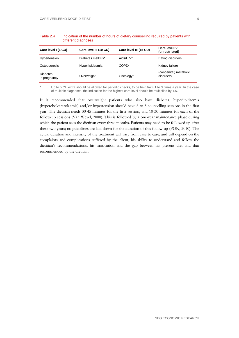| Care level I (6 CU)             | Care level II (10 CU) | Care level III (15 CU) | Care level IV<br>(unrestricted)     |
|---------------------------------|-----------------------|------------------------|-------------------------------------|
| Hypertension                    | Diabetes mellitus*    | Aids/HIV*              | Eating disorders                    |
| Osteoporosis                    | Hyperlipidaemia       | COPD <sup>*</sup>      | Kidney failure                      |
| <b>Diabetes</b><br>in pregnancy | Overweight            | Oncology*              | (congenital) metabolic<br>disorders |

<span id="page-18-0"></span>Table 2.4 Indication of the number of hours of dietary counselling required by patients with different diagnoses

Up to 5 CU extra should be allowed for periodic checks, to be held from 1 to 3 times a year. In the case of multiple diagnoses, the indication for the highest care level should be multiplied by 1.5.

It is recommended that overweight patients who also have diabetes, hyperlipidaemia (hypercholesterolaemia) and/or hypertension should have 6 to 8 counselling sessions in the first year. The dietitian needs 30-45 minutes for the first session, and 10-30 minutes for each of the follow-up sessions (Van Wezel, 2000). This is followed by a one-year maintenance phase during which the patient sees the dietitian every three months. Patients may need to be followed up after these two years; no guidelines are laid down for the duration of this follow-up (PON, 2010). The actual duration and intensity of the treatment will vary from case to case, and will depend on the complaints and complications suffered by the client, his ability to understand and follow the dietitian's recommendations, his motivation and the gap between his present diet and that recommended by the dietitian.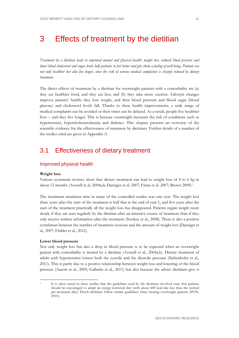# <span id="page-20-0"></span>3 Effects of treatment by the dietitian

*Treatment by a dietitian leads to improved mental and physical health: weight loss, reduced blood pressure and lower blood cholesterol and sugar levels help patients to feel better and give them a feeling of well-being. Patients are not only healthier but also live longer, since the risk of various medical complaints is sharply reduced by dietary treatment.*

The direct effects of treatment by a dietitian for overweight patients with a comorbidity are (a) they eat healthier food, and they eat less; and (b) they take more exercise. Lifestyle changes improve patients' health: they lose weight, and their blood pressure and blood sugar (blood glucose) and cholesterol levels fall. Thanks to these health improvements, a wide range of medical complaints can be avoided or their onset can be delayed. As a result, people live healthier lives – and they live longer. This is because overweight increases the risk of conditions such as hypertension, hypercholesterolaemia and diabetes. This chapter presents an overview of the scientific evidence for the effectiveness of treatment by dietitians. Further details of a number of the studies cited are given in Appendix A.

# <span id="page-20-1"></span>3.1 Effectiveness of dietary treatment

# Improved physical health

## **Weight loss**

Various systematic reviews show that dietary treatment can lead to weight loss of 4 to 6 kg in about 12 months (Avenell et al. 2004a,b; Dansiger et al. 2007; Franz et al. 2007; Brown 2009)<sup>9</sup>.

The maximum treatment time in many of the controlled studies was one year. The weight loss three years after the start of the treatment is half that at the end of year 1, and five years after the start of the treatment practically all the weight loss has disappeared. Patients regain weight more slowly if they are seen regularly by the dietitian after an intensive course of treatment than if they only receive written information after the treatment (Svetkey et al., 2008). There is also a positive correlation between the number of treatment sessions and the amount of weight lost (Dansiger et al., 2007; Finkler et al., 2012).

#### **Lower blood pressure**

Not only weight loss but also a drop in blood pressure is to be expected when an overweight patient with comorbidity is treated by a dietitian (Avenell et al., 2004a,b). Dietary treatment of adults with hypertension lowers both the systolic and the diastolic pressure (Siebenhofer et al., 2011). This is partly due to a positive relationship between weight loss and lowering of the blood pressure (Aucott et al., 2005; Gallardo et al., 2011) but also because the advice dietitians give is

<span id="page-20-2"></span>It is often stated in these studies that the guidelines used by the dietitians involved state that patients should be encouraged to adopt an energy-restricted diet (with about 600 kcal/day less than the normal pre-treatment diet). Dutch dietitians follow similar guidelines when treating overweight patients (PON, 2010).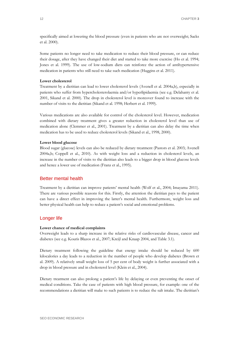specifically aimed at lowering the blood pressure (even in patients who are not overweight; Sacks et al. 2000).

Some patients no longer need to take medication to reduce their blood pressure, or can reduce their dosage, after they have changed their diet and started to take more exercise (Ho et al. 1994; Jones et al. 1999). The use of low-sodium diets can reinforce the action of antihypertensive medication in patients who still need to take such medication (Huggins et al. 2011).

## **Lower cholesterol**

Treatment by a dietitian can lead to lower cholesterol levels (Avenell et al. 2004a,b), especially in patients who suffer from hypercholesterolaemia and/or hyperlipidaemia (see e.g. Delahanty et al. 2001, Sikand et al. 2000). The drop in cholesterol level is moreover found to increase with the number of visits to the dietitian (Sikand et al. 1998; Herbert et al. 1999).

Various medications are also available for control of the cholesterol level. However, medication combined with dietary treatment gives a greater reduction in cholesterol level than use of medication alone (Clemmer et al., 2001). Treatment by a dietitian can also delay the time when medication has to be used to reduce cholesterol levels (Sikand et al., 1998, 2000).

#### **Lower blood glucose**

Blood sugar (glucose) levels can also be reduced by dietary treatment (Pastors et al. 2003; Avenell 2004a,b; Coppell et al., 2010). As with weight loss and a reduction in cholesterol levels, an increase in the number of visits to the dietitian also leads to a bigger drop in blood glucose levels and hence a lower use of medication (Franz et al., 1995).

## Better mental health

Treatment by a dietitian can improve patients' mental health (Wolf et al., 2004; Imayama 2011). There are various possible reasons for this. Firstly, the attention the dietitian pays to the patient can have a direct effect in improving the latter's mental health. Furthermore, weight loss and better physical health can help to reduce a patient's social and emotional problems.

## Longer life

#### **Lower chance of medical complaints**

Overweight leads to a sharp increase in the relative risks of cardiovascular disease, cancer and diabetes (see e.g. Kouris Blazos et al., 2007; Kreijl and Knaap 2004, and [Table 3.1\)](#page-22-1).

Dietary treatment following the guideline that energy intake should be reduced by 600 kilocalories a day leads to a reduction in the number of people who develop diabetes (Brown et al. 2009). A relatively small weight loss of 5 per cent of body weight is further associated with a drop in blood pressure and in cholesterol level (Klein et al., 2004).

Dietary treatment can also prolong a patient's life by delaying or even preventing the onset of medical conditions. Take the case of patients with high blood pressure, for example: one of the recommendations a dietitian will make to such patients is to reduce the salt intake. The dietitian's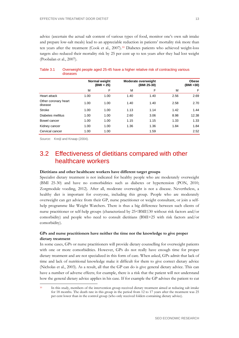advice (ascertain the actual salt content of various types of food, monitor one's own salt intake and prepare low-salt meals) lead to an appreciable reduction in patients' mortality risk more than ten years after the treatment (Cook et al., 2007).[10](#page-22-2) Diabetes patients who achieved weight-loss targets also reduced their mortality risk by 25 per cent up to ten years after they had lost weight (Poobalan et al., 2007).

|                                 | Normal weight<br>(BMI < 25) |      | Moderate overweight<br>(BMI 25-30) |      |      | <b>Obese</b><br>(BMI >30) |
|---------------------------------|-----------------------------|------|------------------------------------|------|------|---------------------------|
|                                 | м                           | F    | М                                  | F    | М    | F                         |
| Heart attack                    | 1.00                        | 1.00 | 1.40                               | 1.40 | 2.56 | 2.69                      |
| Other coronary heart<br>disease | 1.00                        | 1.00 | 1.40                               | 1.40 | 2.58 | 2.70                      |
| <b>Stroke</b>                   | 1.00                        | 1.00 | 1.13                               | 1.14 | 1.42 | 1.44                      |
| Diabetes mellitus               | 1.00                        | 1.00 | 2.60                               | 3.06 | 8.98 | 12.38                     |
| Bowel cancer                    | 1.00                        | 1.00 | 1.15                               | 1.15 | 1.33 | 1.33                      |
| Kidney cancer                   | 1.00                        | 1.00 | 1.36                               | 1.36 | 1.84 | 1.84                      |
| Cervical cancer                 | 1.00                        | 1.00 |                                    | 1.59 |      | 2.52                      |

## <span id="page-22-1"></span>Table 3.1 Overweight people aged 25-45 have a higher relative risk of contracting various diseases

Source: Kreijl and Knaap (2004).

# <span id="page-22-0"></span>3.2 Effectiveness of dietitians compared with other healthcare workers

### **Dietitians and other healthcare workers have different target groups**

Specialist dietary treatment is not indicated for healthy people who are moderately overweight (BMI 25-30) and have no comorbidities such as diabetes or hypertension (PON, 2010; Zorgmodule voeding, 2012). After all, moderate overweight is not a disease. Nevertheless, a healthy diet is important for everyone, including this group. People who are moderately overweight can get advice from their GP, nurse practitioner or weight consultant, or join a selfhelp programme like Weight Watchers. There is thus a big difference between such clients of nurse practitioner or self-help groups (characterized by 25<BMI≤30 without risk factors and/or comorbidity) and people who need to consult dietitians (BMI>25 with risk factors and/or comorbidity).

# **GPs and nurse practitioners have neither the time nor the knowledge to give proper dietary treatment**

In some cases, GPs or nurse practitioners will provide dietary counselling for overweight patients with one or more comorbidities. However, GPs do not really have enough time for proper dietary treatment and are not specialized in this form of care. When asked, GPs admit that lack of time and lack of nutritional knowledge make it difficult for them to give correct dietary advice (Nicholas et al., 2003). As a result, all that the GP can do is give general dietary advice. This can have a number of adverse effects; for example, there is a risk that the patient will not understand how the general dietary advice applies in his case. If for example the GP advises the patient to cut

<span id="page-22-2"></span> <sup>10</sup> In this study, members of the intervention group received dietary treatment aimed at reducing salt intake for 18 months. The death rate in this group in the period from 12 to 17 years after the treatment was 25 per cent lower than in the control group (who only received folders containing dietary advice).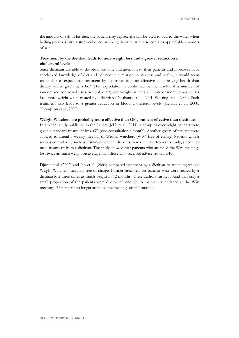the amount of salt in his diet, the patient may replace the salt he used to add to the water when boiling potatoes with a stock cube, not realizing that the latter also contains appreciable amounts of salt.

# **Treatment by the dietitian leads to more weight loss and a greater reduction in cholesterol levels**

Since dietitians are able to devote more time and attention to their patients and moreover have specialized knowledge of diet and behaviour in relation to sickness and health, it would seem reasonable to expect that treatment by a dietitian is more effective in improving health than dietary advice given by a GP. This expectation is confirmed by the results of a number of randomized controlled trials (see [Table 3.2\)](#page-23-0): overweight patients with one or more comorbidities lose more weight when treated by a dietitian (Delahanty et al., 2001; Willaing et al., 2004). Such treatment also leads to a greater reduction in blood cholesterol levels (Henkin et al., 2000; Thompson et al., 2009).

### **Weight Watchers are probably more effective than GPs, but less effective than dietitians**

In a recent study published in the Lancet (Jebb et al., 2011), a group of overweight patients were given a standard treatment by a GP (one consultation a month). Another group of patients were allowed to attend a weekly meeting of Weight Watchers (WW) free of charge. Patients with a serious comorbidity such as insulin-dependent diabetes were excluded from this study, since they need treatment from a dietitian. The study showed that patients who attended the WW meetings lost twice as much weight on average than those who received advice from a GP.

<span id="page-23-0"></span>Djuric et al. (2002) and Jen et al. (2004) compared treatment by a dietitian to attending weekly Weight Watchers meetings free of charge. Former breast cancer patients who were treated by a dietitian lost three times as much weight in 12 months. These authors further found that only a small proportion of the patients were disciplined enough to maintain attendance at the WW meetings: 73 per cent no longer attended the meetings after 6 months.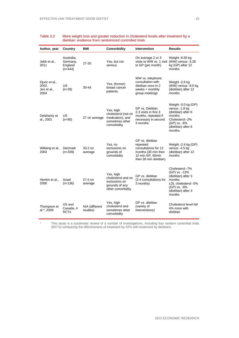| Author, year                                   | Country                                        | BMI                        | <b>Comorbidity</b>                                                                      | <b>Intervention</b>                                                                                                       | <b>Results</b>                                                                                                                               |
|------------------------------------------------|------------------------------------------------|----------------------------|-----------------------------------------------------------------------------------------|---------------------------------------------------------------------------------------------------------------------------|----------------------------------------------------------------------------------------------------------------------------------------------|
| Jebb et al.,<br>2011                           | Australia,<br>Germany,<br>England<br>$(n=444)$ | 27-35                      | Yes, but not<br>serious                                                                 | On average 2 or 3<br>visits to WW vs. 1 visit (WW) versus -3.26<br>to GP (per month)                                      | Weight -6.65 kg<br>kg (GP) after 12<br>months                                                                                                |
| Djuric et al.,<br>2002.<br>Jen et al.,<br>2004 | US<br>$(n=39)$                                 | 30-44                      | Yes, (former)<br>breast cancer<br>patients                                              | WW vs. telephonic<br>consultation with<br>dietitian once in 2<br>weeks $+$ monthly<br>group meetings                      | Weight -2.6 kg<br>(WW) versus -8.0 kg<br>(dietitian) after 12<br>months                                                                      |
| Delahanty et<br>al., 2001                      | US<br>$(n=90)$                                 | 27 on average              | Yes, high<br>cholesterol (not on<br>medication), and<br>sometimes other<br>comorbidity  | GP vs. Dietitian<br>2-3 visits in first 3<br>months, repeated if<br>necessary in second<br>3 months                       | Weight -0.0 kg (GP)<br>versus -1.9 kg<br>(dietitian) after 6<br>months.<br>Cholesterol -2%<br>(GP) vs. -6%<br>(dietitian) after 6<br>months. |
| Willaing et al.,<br>2004                       | Denmark<br>$(n=339)$                           | 33.2 on<br>average         | Yes, no<br>exclusions on<br>grounds of<br>comorbidity                                   | GP vs. dietitian<br>repeated<br>consultations for 12<br>months (30 min then<br>12 min GP, 60min<br>then 30 min dietitian) | Weight -2.4 kg (GP)<br>versus -4.5 kg<br>(dietitian) after 12<br>months                                                                      |
| Henkin et al.,<br>2000                         | Israel<br>$(n=136)$                            | 27.5 on<br>average         | Yes, high<br>cholesterol and no<br>exclusions on<br>grounds of any<br>other comorbidity | GP vs. dietitian<br>(2-4 consultations for<br>3 months)                                                                   | Cholesterol -7%<br>(GP) vs. -12%<br>(dietitian) after 3<br>months.<br>LDL cholesterol -5%<br>(GP) vs. -9%<br>(dietitian) after 3<br>months   |
| Thompson et<br>al.*, 2009                      | US and<br>Canada, 4<br><b>RCTs</b>             | N/A (different<br>studies) | Yes, high<br>cholesterol and<br>sometimes other<br>comorbidity                          | GP vs. dietitian<br>(variety of<br>interventions)                                                                         | Cholesterol level fell<br>4% more with<br>dietitian                                                                                          |

#### Table 3.2 More weight loss and greater reduction in cholesterol levels after treatment by a dietitian: evidence from randomized controlled trials

\* This study is a systematic review of a number of investigations, including four random controlled trials (RCTs) comparing the effectiveness of treatment by GPs with treatment by dietitians.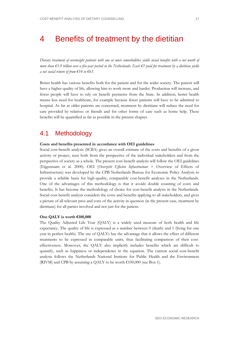# <span id="page-26-0"></span>4 Benefits of treatment by the dietitian

*Dietary treatment of overweight patients with one or more comorbidities yields social benefits with a net worth of more than €1.9 billion over a five-year period in the Netherlands. Each €1 paid for treatment by a dietitian yields a net social return of from €14 to €63.*

Better health has various benefits both for the patient and for the wider society. The patient will have a higher quality of life, allowing him to work more and harder. Production will increase, and fewer people will have to rely on benefit payments from the State. In addition, better health means less need for healthcare, for example because fewer patients will have to be admitted to hospital. As far as older patients are concerned, treatment by dietitians will reduce the need for care provided by relatives or friends and for other forms of care such as home help. These benefits will be quantified as far as possible in the present chapter.

# <span id="page-26-1"></span>4.1 Methodology

## **Costs and benefits presented in accordance with OEI guidelines**

Social cost-benefit analysis (SCBA) gives an overall estimate of the costs and benefits of a given activity or project, seen both from the perspective of the individual stakeholders and from the perspective of society as a whole. The present cost-benefit analysis will follow the OEI guidelines (Eijgenraam et al. 2000). OEI (*Overzicht Effecten Infrastructuur* = Overview of Effects of Infrastructure) was developed by the CPB Netherlands Bureau for Economic Policy Analysis to provide a reliable basis for high-quality, comparable cost-benefit analyses in the Netherlands. One of the advantages of this methodology is that it avoids double counting of costs and benefits. It has become the methodology of choice for cost-benefit analysis in the Netherlands. Social cost-benefit analysis considers the costs and benefits applying to all stakeholders, and gives a picture of all relevant pros and cons of the activity in question (in the present case, treatment by dietitians) for all parties involved and not just for the patient.

## **One QALY is worth €100,000**

The Quality Adjusted Life Year (QALY) is a widely used measure of both health and life expectancy. The quality of life is expressed as a number between 0 (death) and 1 (living for one year in perfect health). The use of QALYs has the advantage that it allows the effect of different treatments to be expressed in comparable units, thus facilitating comparison of their costeffectiveness. Moreover, the QALY also implicitly includes benefits which are difficult to quantify, such as happiness or independence in the equation. The current social cost-benefit analysis follows the Netherlands National Institute for Public Health and the Environment (RIVM) and CPB by assuming a QALY to be worth  $\epsilon$ 100,000 (see [Box 1\)](#page-27-1).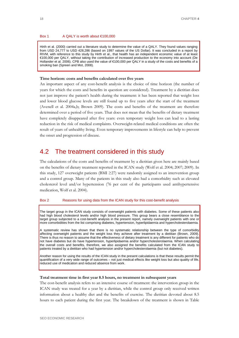#### <span id="page-27-1"></span>Box 1 A QALY is worth about €100,000

Hirth et al. (2000) carried out a literature study to determine the value of a QALY. They found values ranging from USD 24,777 to USD 428,286 (based on 1997 values of the US Dollar). It was concluded in a report by RIVM, with reference to this study by Hirth et al., that health has an independent economic value of at least €100,000 per QALY, without taking the contribution of increased production to the economy into account (De Hollander et al. 2006). CPB also used the value of €100,000 per QALY in a study of the costs and benefits of a smoking ban (Spreen and Mot, 2008).

#### **Time horizon: costs and benefits calculated over five years**

An important aspect of any cost-benefit analysis is the choice of time horizon (the number of years for which the costs and benefits in question are considered). Treatment by a dietitian does not just improve the patient's health during the treatment: it has been reported that weight loss and lower blood glucose levels are still found up to five years after the start of the treatment (Avenell et al. 2004a,b; Brown 2009). The costs and benefits of the treatment are therefore determined over a period of five years. That does not mean that the benefits of dietary treatment have completely disappeared after five years: even temporary weight loss can lead to a lasting reduction in the risk of medical complaints. Overweight-related medical conditions are often the result of years of unhealthy living. Even temporary improvements in lifestyle can help to prevent the onset and progression of disease.

# <span id="page-27-0"></span>4.2 The treatment considered in this study

The calculations of the costs and benefits of treatment by a dietitian given here are mainly based on the benefits of dietary treatment reported in the ICAN study (Wolf et al. 2004; 2007; 2009). In this study, 127 overweight patients (BMI  $\geq$ 27) were randomly assigned to an intervention group and a control group. Many of the patients in this study also had a comorbidity such as elevated cholesterol level and/or hypertension (76 per cent of the participants used antihypertensive medication, Wolf et al. 2004).

#### Box 2 Reasons for using data from the ICAN study for this cost-benefit analysis

The target group in the ICAN study consists of overweight patients with diabetes. Some of these patients also had high blood cholesterol levels and/or high blood pressure. This group bears a close resemblance to the target group subjected to a cost-benefit analysis in the present report, namely overweight patients with one or more comorbidities from the list comprising diabetes, hypertension, hyperlipidaemia and hypercholesterolaemia.

A systematic review has shown that there is no systematic relationship between the type of comorbidity affecting overweight patients and the weight loss they achieve after treatment by a dietitian (Brown, 2009). There is thus no reason to assume that the effectiveness of dietary treatment is any different for patients who do not have diabetes but do have hypertension, hyperlipidaemia and/or hypercholesterolaemia. When calculating the overall costs and benefits, therefore, we also assigned the benefits calculated from the ICAN study to patients treated by a dietitian who had hypertension and/or hypercholesterolaemia (but not diabetes).

Another reason for using the results of the ICAN study in the present calculations is that these results permit the quantification of a very wide range of outcomes – not just medical effects like weight loss but also quality of life, reduced use of medication and reduced absence from work.

#### **Total treatment time in first year 8.5 hours, no treatment in subsequent years**

The cost-benefit analysis refers to an intensive course of treatment: the intervention group in the ICAN study was treated for a year by a dietitian, while the control group only received written information about a healthy diet and the benefits of exercise. The dietitian devoted about 8.5 hours to each patient during the first year. The breakdown of the treatment is shown in [Table](#page-28-0)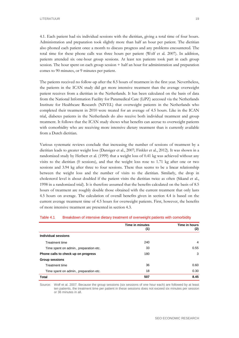LITERATUUR 19

4.1. Each patient had six individual sessions with the dietitian, giving a total time of four hours. Administration and preparation took slightly more than half an hour per patient. The dietitian also phoned each patient once a month to discuss progress and any problems encountered. The total time for these phone calls was three hours per patient (Wolf et al. 2007). In addition, patients attended six one-hour group sessions. At least ten patients took part in each group session. The hour spent on each group session + half an hour for administration and preparation comes to 90 minutes, or 9 minutes per patient.

The patients received no follow-up after the 8.5 hours of treatment in the first year. Nevertheless, the patients in the ICAN study did get more intensive treatment than the average overweight patient receives from a dietitian in the Netherlands. It has been calculated on the basis of data from the National Information Facility for Paramedical Care (LiPZ) accessed via the Netherlands Institute for Healthcare Research (NIVEL) that overweight patients in the Netherlands who completed their treatment in 2010 were treated for an average of 4.5 hours. Like in the ICAN trial, diabetes patients in the Netherlands do also receive both individual treatment and group treatment. It follows that the ICAN study shows what benefits can accrue to overweight patients with comorbidity who are receiving more intensive dietary treatment than is currently available from a Dutch dietitian.

Various systematic reviews conclude that increasing the number of sessions of treatment by a dietitian leads to greater weight loss (Dansiger et al., 2007; Finkler et al., 2012). It was shown in a randomized study by Herbert et al. (1999) that a weight loss of 0.41 kg was achieved without any visits to the dietitian (0 sessions), and that the weight loss rose to 1.71 kg after one or two sessions and 3.94 kg after three to four sessions. There thus seems to be a linear relationship between the weight loss and the number of visits to the dietitian. Similarly, the drop in cholesterol level is about doubled if the patient visits the dietitian twice as often (Sikand et al., 1998 in a randomized trial). It is therefore assumed that the benefits calculated on the basis of 8.5 hours of treatment are roughly double those obtained with the current treatment that only lasts 4.5 hours on average. The calculation of overall benefits given in section 4.4 is based on the current average treatment time of 4.5 hours for overweight patients. First, however, the benefits of more intensive treatment are presented in section 4.3.

|                                        | <b>Time in minutes</b><br>(1) | Time in hours<br>(2) |
|----------------------------------------|-------------------------------|----------------------|
| Individual sessions                    |                               |                      |
| <b>Treatment time</b>                  | 240                           | 4                    |
| Time spent on admin., preparation etc. | 33                            | 0.55                 |
| Phone calls to check up on progress    | 180                           | 3                    |
| <b>Group sessions</b>                  |                               |                      |
| <b>Treatment time</b>                  | 36                            | 0.60                 |
| Time spent on admin., preparation etc. | 18                            | 0.30                 |
| <b>Total</b>                           | 507                           | 8.45                 |

#### <span id="page-28-0"></span>Table 4.1 Breakdown of intensive dietary treatment of overweight patients with comorbidity

Source: Wolf et al. 2007. Because the group sessions (six sessions of one hour each) are followed by at least ten patients, the treatment time per patient in these sessions does not exceed six minutes per session or 36 minutes in all.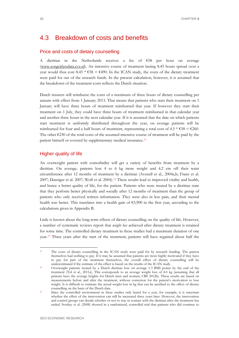# <span id="page-29-0"></span>4.3 Breakdown of costs and benefits

# Price and costs of dietary counselling

A dietitian in the Netherlands receives a fee of €58 per hour on average [\(www.zorgcijfersdata.cvz.nl\)](http://www.zorgcijfersdata.cvz.nl/). An intensive course of treatment lasting 8.45 hours spread over a year would thus cost 8.45  $* \text{ } \in 58 = \text{ } \in 490$ . In the ICAN study, the costs of the dietary treatment were paid for out of the research funds. In the present calculation, however, it is assumed that the breakdown of the treatment costs reflects the Dutch situation.

Dutch insurers will reimburse the costs of a maximum of three hours of dietary counselling per annum with effect from 1 January 2013. That means that patients who start their treatment on 1 January will have three hours of treatment reimbursed that year. If however they start their treatment on 1 July, they could have three hours of treatment reimbursed in that calendar year and another three hours in the next calendar year. If it is assumed that the date on which patients start treatment is uniformly distributed throughout the year, on average patients will be reimbursed for four and a half hours of treatment, representing a total cost of 4.5  $*$  €58 = €260. The other  $\epsilon$ 230 of the total costs of the assumed intensive course of treatment will be paid by the patient himself or covered by supplementary medical insurance.[11](#page-29-1)

## Higher quality of life

An overweight patient with comorbidity will get a variety of benefits from treatment by a dietitian. On average, patients lose 4 to 6 kg more weight and 4.2 cm off their waist circumference after 12 months of treatment by a dietitian (Avenell et al., 2004a,b; Franz et al. 2007; Dansiger et al. 2007; Wolf et al. 2004).[12](#page-29-2) These results lead to improved vitality and health, and hence a better quality of life, for the patient. Patients who were treated by a dietitian state that they perform better physically and socially after 12 months of treatment than the group of patients who only received written information. They were also in less pain, and their mental health was better. This translates into a health gain of €5,900 in the first year, according to the calculations given in Appendix B.

Little is known about the long-term effects of dietary counselling on the quality of life. However, a number of systematic reviews report that *weight loss* achieved after dietary treatment is retained for some time. The controlled dietary treatment in these studies had a maximum duration of one year.[13](#page-29-3) Three years after the start of the treatment, patients will have regained about half the

<span id="page-29-1"></span> <sup>11</sup> The costs of dietary counselling in the ICAN study were paid for by research funding. The patient themselves had nothing to pay. If it may be assumed that patients are more highly motivated if they have to pay for part of the treatment themselves, the overall effect of dietary counselling will be underestimated if the estimate of the effect is based on the results of the ICAN study.<br><sup>12</sup> Overweight patients treated by a Dutch dietitian lose on average 1.3 BMI points by the end of the

<span id="page-29-2"></span>treatment (Tol et al., 2011a). This corresponds to an average weight loss of 4.0 kg (assuming that all patients have the average heights for Dutch men and women; CBS 2012b). These results are based on measurements before and after the treatment, without correction for the patient's motivation to lose weight. It is difficult to estimate the actual weight loss in kg that can be ascribed to the effect of dietary counselling on the basis of the Dutch data.<br><sup>13</sup> Since the controlled environment in these studies only lasted for a year, for example, it is uncertain

<span id="page-29-3"></span>whether the effect of the intervention can still be measured three years later. However, the intervention and control groups can decide whether or not to stay in contact with the dietitian after the treatment has ended. Svetkey et al. (2008) showed in a randomized, controlled trial that patients who did continue to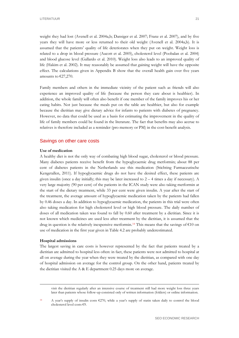weight they had lost (Avenell et al. 2004a,b; Dansiger et al. 2007; Franz et al. 2007), and by five years they will have more or less returned to their old weight (Avenell et al. 2004a,b). It is assumed that the patients' quality of life deteriorates when they put on weight. Weight loss is related to a drop in blood pressure (Aucott et al. 2005), cholesterol level (Poobalan et al. 2004) and blood glucose level (Gallardo et al. 2010). Weight loss also leads to an improved quality of life (Hakim et al. 2002). It may reasonably be assumed that gaining weight will have the opposite effect. The calculations given in Appendix B show that the overall health gain over five years amounts to €27,270.

Family members and others in the immediate vicinity of the patient such as friends will also experience an improved quality of life (because the person they care about is healthier). In addition, the whole family will often also benefit if one member of the family improves his or her eating habits. Not just because the meals put on the table are healthier, but also for example because the dietitian may give dietary advice for infants to patients with diabetes of pregnancy. However, no data that could be used as a basis for estimating the improvement in the quality of life of family members could be found in the literature. The fact that benefits may also accrue to relatives is therefore included as a reminder (pro memory or PM) in the cost-benefit analysis.

## Savings on other care costs

#### **Use of medication**

A healthy diet is not the only way of combating high blood sugar, cholesterol or blood pressure. Many diabetes patients receive benefit from the hypoglycaemic drug metformin; about 88 per cent of diabetes patients in the Netherlands use this medication (Stichting Farmaceutische Kengetallen, 2011). If hypoglycaemic drugs do not have the desired effect, these patients are given insulin (once a day initially; this may be later increased to  $2 - 4$  times a day if necessary). A very large majority (90 per cent) of the patients in the ICAN study were also taking metformin at the start of the dietary treatment, while 33 per cent were given insulin. A year after the start of the treatment, the average amount of hypoglycaemic medication taken by the patients had fallen by 0.46 doses a day. In addition to hypoglycaemic medication, the patients in this trial were often also taking medication for high cholesterol level or high blood pressure. The daily number of doses of all medication taken was found to fall by 0.60 after treatment by a dietitian. Since it is not known which medicines are used less after treatment by the dietitian, it is assumed that the drug in question is the relatively inexpensive metformin.<sup>[14](#page-30-0)</sup> This means that the savings of  $\epsilon$ 10 on use of medication in the first year given i[n Table 4.2](#page-31-0) are probably underestimated.

#### **Hospital admissions**

The largest saving in care costs is however represented by the fact that patients treated by a dietitian are admitted to hospital less often: in fact, these patients were not admitted to hospital at all on average during the year when they were treated by the dietitian, as compared with one day of hospital admission on average for the control group. On the other hand, patients treated by the dietitian visited the A  $\&$  E department 0.25 days more on average.

 visit the dietitian regularly after an intensive course of treatment still had more weight loss three years later than patients whose follow-up consisted only of written information (folders) or online information.

<span id="page-30-0"></span><sup>14</sup> A year's supply of insulin costs €270, while a year's supply of statin taken daily to control the blood cholesterol level costs €9.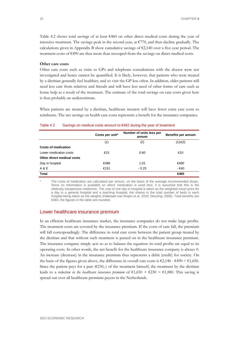[Table 4.2](#page-31-0) shows total savings of at least €460 on other direct medical costs during the year of intensive treatment. The savings peak in the second year, at  $\epsilon$ 770, and then decline gradually. The calculations given in Appendix B show cumulative savings of €2,140 over a five-year period. The treatment costs of €490 are thus more than recouped from the savings on direct medical costs.

### **Other care costs**

Other care costs such as visits to GPs and telephone consultations with the doctor were not investigated and hence cannot be quantified. It is likely, however, that patients who were treated by a dietitian generally feel healthier, and so visit the GP less often. In addition, older patients will need less care from relatives and friends and will have less need of other forms of care such as home help as a result of the treatment. The estimate of the total savings on care costs given here is thus probably an underestimate.

When patients are treated by a dietitian, healthcare insurers will have fewer extra care costs to reimburse. The net savings on health care costs represents a benefit for the insurance companies.

|                            | Costs per unit* | Number of units less per<br>annum | Benefits per annum |
|----------------------------|-----------------|-----------------------------------|--------------------|
|                            | (1)             | (2)                               | $(1)$ x $(2)$      |
| <b>Costs of medication</b> |                 |                                   |                    |
| Lower medication costs     | €15             | 0.60                              | €10                |
| Other direct medical costs |                 |                                   |                    |
| Day in hospital            | €486            | 1.01                              | €490               |
| A & E                      | €151            | $-0.25$                           | - €40              |
| <b>Total</b>               |                 |                                   | €460               |

#### <span id="page-31-0"></span>Table 4.2 Savings on medical costs amount to €462 during the year of treatment

The costs of medication are calculated per annum, on the basis of the average recommended doses. Since no information is available on which medication is used less, it is assumed that this is the relatively inexpensive metformin. The cost of one day in hospital is taken as the weighted mean price for a day in a general hospital and a teaching hospital, the shares in the total number of beds in each hospital being taken as the weights (Hakkaart-van Roijen et al. 2010; Deuning, 2006). Total benefits are €460, the figures in the table are rounded.

## Lower healthcare insurance premium

In an efficient healthcare insurance market, the insurance companies do not make large profits. The treatment costs are covered by the insurance premium. If the costs of care fall, the premium will fall correspondingly. The difference in total care costs between the patient group treated by the dietitian and that without such treatment is passed on in the healthcare insurance premium. The insurance company simply acts so as to balance the equation: its total profits are equal to its operating costs. In other words, the net benefit for the healthcare insurance company is always 0. An increase (decrease) in the insurance premium thus represents a debit (credit) for society. On the basis of the figures given above, the difference in overall care costs is  $\epsilon$ 2,140 -  $\epsilon$ 490 =  $\epsilon$ 1,650. Since the patient pays for a part  $(\text{\textsterling}230,.)$  of the treatment himself, the treatment by the dietitian leads to a *reduction in the healthcare insurance premium* of  $\epsilon 1,650 + \epsilon 230 = \epsilon 1,880$ . This saving is spread out over all healthcare premium payers in the Netherlands.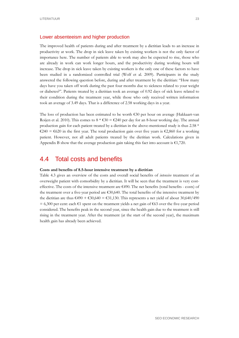## Lower absenteeism and higher production

The improved health of patients during and after treatment by a dietitian leads to an increase in productivity at work. The drop in sick leave taken by existing workers is not the only factor of importance here. The number of patients able to work may also be expected to rise, those who are already in work can work longer hours, and the productivity during working hours will increase. The drop in sick leave taken by existing workers is the only one of these factors to have been studied in a randomized controlled trial (Wolf et al. 2009). Participants in the study answered the following question before, during and after treatment by the dietitian: "How many days have you taken off work during the past four months due to sickness related to your weight or diabetes?". Patients treated by a dietitian took an average of 0.92 days of sick leave related to their condition during the treatment year, while those who only received written information took an average of 3.49 days. That is a difference of 2.58 working days in a year.

The loss of production has been estimated to be worth  $\epsilon$ 30 per hour on average (Hakkaart-van Roijen et al. 2010). This comes to  $8 * \epsilon 30 = \epsilon 240$  per day for an 8-hour working day. The annual production gain for each patient treated by a dietitian in the above-mentioned study is thus 2.58 \*  $€240 = €620$  in the first year. The total production gain over five years is  $€2,860$  for a working patient. However, not all adult patients treated by the dietitian work. Calculations given in Appendix B show that the average production gain taking this fact into account is  $\epsilon$ 1,720.

# <span id="page-32-0"></span>4.4 Total costs and benefits

#### **Costs and benefits of 8.5-hour intensive treatment by a dietitian**

[Table 4.3](#page-33-0) gives an overview of the costs and overall social benefits of *intensive* treatment of an overweight patient with comorbidity by a dietitian. It will be seen that the treatment is very costeffective. The costs of the intensive treatment are €490. The net benefits (total benefits - costs) of the treatment over a five-year period are €30,640. The total benefits of the intensive treatment by the dietitian are thus  $\epsilon$ 490 +  $\epsilon$ 30,640 =  $\epsilon$ 31,130. This represents a net yield of about 30,640/490  $= 6,300$  per cent: each  $\epsilon$ 1 spent on the treatment yields a net gain of  $\epsilon$ 63 over the five-year period considered. The benefits peak in the second year, since the health gain due to the treatment is still rising in the treatment year. After the treatment (at the start of the second year), the maximum health gain has already been achieved.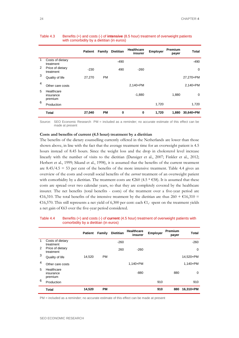|   |                                    | <b>Patient</b> | Family    | <b>Dietitian</b> | <b>Healthcare</b><br>insurer | Employer | <b>Premium</b><br>payer | <b>Total</b> |
|---|------------------------------------|----------------|-----------|------------------|------------------------------|----------|-------------------------|--------------|
| 1 | Costs of dietary<br>treatment      |                |           | $-490$           |                              |          |                         | -490         |
| 2 | Price of dietary<br>treatment      | $-230$         |           | 490              | $-260$                       |          |                         | 0            |
| 3 | Quality of life                    | 27,270         | <b>PM</b> |                  |                              |          |                         | 27,270+PM    |
| 4 | Other care costs                   |                |           |                  | $2,140+PM$                   |          |                         | $2,140+PM$   |
| 5 | Healthcare<br>insurance<br>premium |                |           |                  | $-1,880$                     |          | 1,880                   | $\mathbf 0$  |
| 6 | Production                         |                |           |                  |                              | 1,720    |                         | 1,720        |
|   | <b>Total</b>                       | 27,040         | <b>PM</b> | 0                | 0                            | 1,720    | 1,880                   | 30,640+PM    |

#### <span id="page-33-0"></span>Table 4.3 Benefits (+) and costs (-) of **intensive** (8.5 hour) treatment of overweight patients with comorbidity by a dietitian (in euros)

Source: SEO Economic Research PM = included as a reminder; no accurate estimate of this effect can be made at present

## **Costs and benefits of current (4.5 hour) treatment by a dietitian**

The benefits of the dietary counselling currently offered in the Netherlands are lower than those shown above, in line with the fact that the average treatment time for an overweight patient is 4.5 hours instead of 8.45 hours. Since the weight loss and the drop in cholesterol level increase linearly with the number of visits to the dietitian (Dansiger et al., 2007; Finkler et al., 2012; Herbert et al., 1999; Sikand et al., 1998), it is assumed that the benefits of the current treatment are  $8.45/4.5 = 53$  per cent of the benefits of the more intensive treatment. [Table 4.4](#page-33-1) gives an overview of the costs and overall social benefits of the *current* treatment of an overweight patient with comorbidity by a dietitian. The treatment costs are  $\epsilon$ 260 (4.5  $\epsilon$  €58). It is assumed that these costs are spread over two calendar years, so that they are completely covered by the healthcare insurer. The net benefits (total benefits - costs) of the treatment over a five-year period are €16,310. The total benefits of the intensive treatment by the dietitian are thus  $260 + \text{\textsterling}16,310$  = €16,570. This still represents a net yield of 6,300 per cent: each €1,- spent on the treatment yields a net gain of €63 over the five-year period considered.

# <span id="page-33-1"></span>Table 4.4 Benefits (+) and costs (-) of **current** (4.5 hour) treatment of overweight patients with comorbidity by a dietitian (in euros)

|             |                                    | <b>Patient</b> | Family    | <b>Dietitian</b> | <b>Healthcare</b><br>insurer | Employer | <b>Premium</b><br>payer | <b>Total</b> |
|-------------|------------------------------------|----------------|-----------|------------------|------------------------------|----------|-------------------------|--------------|
| $\mathbf 1$ | Costs of dietary<br>treatment      |                |           | $-260$           |                              |          |                         | $-260$       |
| 2           | Price of dietary<br>treatment      |                |           | 260              | $-260$                       |          |                         | 0            |
| 3           | Quality of life                    | 14,520         | <b>PM</b> |                  |                              |          |                         | 14,520+PM    |
| 4           | Other care costs                   |                |           |                  | $1,140 + PM$                 |          |                         | $1,140 + PM$ |
| 5           | Healthcare<br>insurance<br>premium |                |           |                  | $-880$                       |          | 880                     | 0            |
| 6           | Production                         |                |           |                  |                              | 910      |                         | 910          |
|             | <b>Total</b>                       | 14,520         | <b>PM</b> |                  |                              | 910      | 880                     | 16,310+PM    |

PM = included as a reminder; no accurate estimate of this effect can be made at present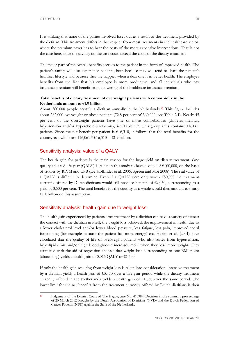It is striking that none of the parties involved loses out as a result of the treatment provided by the dietitian. This treatment differs in that respect from most treatments in the healthcare sector, where the premium payer has to bear the costs of the more expensive interventions. That is not the case here, since the savings on the care costs exceed the costs of the dietary treatment.

The major part of the overall benefits accrues to the patient in the form of improved health. The patient's family will also experience benefits, both because they will tend to share the patient's healthier lifestyle and because they are happier when a dear one is in better health. The employer benefits from the fact that his employee is more productive, and all individuals who pay insurance premium will benefit from a lowering of the healthcare insurance premium.

# **Total benefits of dietary treatment of overweight patients with comorbidity in the Netherlands amount to €1.9 billion**

About 360,000 people consult a dietitian annually in the Netherlands[.15](#page-34-0) This figure includes about 262,000 overweight or obese patients (72.8 per cent of 360,000; see [Table 2.1\)](#page-12-2). Nearly 45 per cent of the overweight patients have one or more comorbidities (diabetes mellitus, hypertension and/or hypercholesterolaemia); see [Table 2.2.](#page-13-1) This group thus contains 116,061 patients. Since the net benefit per patient is  $\epsilon$ 16,310, it follows that the total benefits for the country as a whole are 116,061 \* €16,310 = €1.9 billion.

# Sensitivity analysis: value of a QALY

The health gain for patients is the main reason for the huge yield on dietary treatment. One quality adjusted life year (QALY) is taken in this study to have a value of  $\epsilon$ 100,000, on the basis of studies by RIVM and CPB (De Hollander et al. 2006; Spreen and Mot 2008). The real value of a QALY is difficult to determine. Even if a QALY were only worth €50,000 the treatment currently offered by Dutch dietitians would still produce benefits of  $\epsilon$ 9,050, corresponding to a yield of 3,500 per cent. The total benefits for the country as a whole would then amount to nearly €1.1 billion on this assumption.

## Sensitivity analysis: health gain due to weight loss

The health gain experienced by patients after treatment by a dietitian can have a variety of causes: the contact with the dietitian in itself, the weight loss achieved, the improvement in health due to a lower cholesterol level and/or lower blood pressure, less fatigue, less pain, improved social functioning (for example because the patient has more energy) etc. Hakim et al. (2001) have calculated that the quality of life of overweight patients who also suffer from hypertension, hyperlipidaemia and/or high blood glucose increases more when they lose more weight. They estimated with the aid of regression analysis that weight loss corresponding to one BMI point (about 3 kg) yields a health gain of 0.015 QALY or  $\epsilon$ 1,500.

If only the health gain resulting from weight loss is taken into consideration, intensive treatment by a dietitian yields a health gain of  $\epsilon$ 3,470 over a five-year period while the dietary treatment currently offered in the Netherlands yields a health gain of  $\epsilon$ 1,850 over the same period. The lower limit for the net benefits from the treatment currently offered by Dutch dietitians is then

<span id="page-34-0"></span> <sup>15</sup> Judgement of the District Court of The Hague, case No. 413984. Decision in the summary proceedings of 20 March 2012 brought by the Dutch Association of Dietitians (NVD) and the Dutch Federation of Cancer Patients (NFK) against the State of the Netherlands.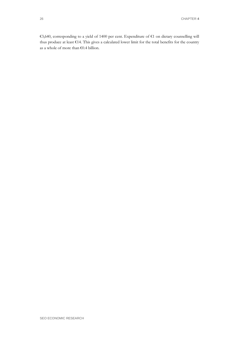€3,640, corresponding to a yield of 1400 per cent. Expenditure of €1 on dietary counselling will thus produce at least €14. This gives a calculated lower limit for the total benefits for the country as a whole of more than €0.4 billion.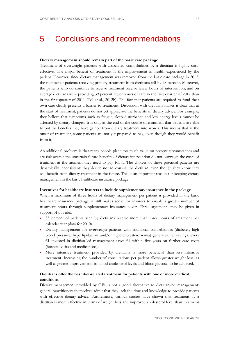# <span id="page-36-0"></span>5 Conclusions and recommendations

## **Dietary management should remain part of the basic care package**

Treatment of overweight patients with associated comorbidities by a dietitian is highly costeffective. The major benefit of treatment is the improvement in health experienced by the patient. However, since dietary management was removed from the basic care package in 2012, the number of patients receiving primary treatment from dietitians fell by 28 percent. Moreover, the patients who do continue to receive treatment receive fewer hours of intervention, and on average dietitians were providing 39 percent fewer hours of care in the first quarter of 2012 than in the first quarter of 2011 (Tol et al., 2012b). The fact that patients are required to fund their own care clearly presents a barrier to treatment. Discussion with dietitians makes it clear that at the start of treatment, patients do not yet appreciate the benefits of dietary advice. For example, they believe that symptoms such as fatigue, sleep disturbance and low energy levels cannot be affected by dietary changes. It is only at the end of the course of treatment that patients are able to put the benefits they have gained from dietary treatment into words. This means that at the onset of treatment, some patients are not yet prepared to pay, even though they would benefit from it.

An additional problem is that many people place too much value on present circumstances and are risk-averse: the uncertain future benefits of dietary intervention do not outweigh the costs of treatment at the moment they need to pay for it. The choices of these potential patients are dynamically inconsistent: they decide not to consult the dietitian, even though they know they will benefit from dietary treatment in the future. This is an important reason for keeping dietary management in the basic healthcare insurance package.

#### **Incentives for healthcare insurers to include supplementary insurance in the package**

When a maximum of three hours of dietary management per patient is provided in the basic healthcare insurance package, it still makes sense for insurers to enable a greater number of treatment hours through supplementary insurance cover. Three arguments may be given in support of this idea:

- 35 percent of patients seen by dietitians receive more than three hours of treatment per calendar year (data for 2010).
- Dietary management for overweight patients with additional comorbidities (diabetes, high blood pressure, hyperlipidaemia and/or hypercholesterolaemia) generates net savings: every €1 invested in dietitian-led management saves €4 within five years on further care costs (hospital visits and medications).
- More intensive treatment provided by dietitians is more beneficial than less intensive treatment. Increasing the number of consultations per patient allows greater weight loss, as well as greater improvements in blood cholesterol levels and blood glucose, to be achieved.

# **Dietitians offer the best diet-related treatment for patients with one or more medical conditions**

Dietary management provided by GPs is not a good alternative to dietitian-led management: general practitioners themselves admit that they lack the time and knowledge to provide patients with effective dietary advice. Furthermore, various studies have shown that treatment by a dietitian is more effective in terms of weight loss and improved cholesterol level than treatment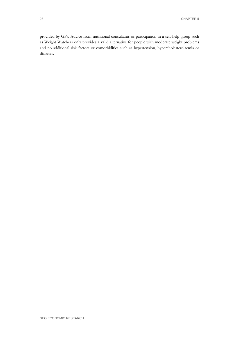provided by GPs. Advice from nutritional consultants or participation in a self-help group such as Weight Watchers only provides a valid alternative for people with moderate weight problems and no additional risk factors or comorbidities such as hypertension, hypercholesterolaemia or diabetes.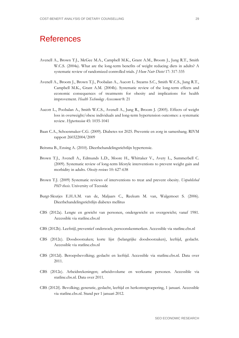# <span id="page-38-0"></span>**References**

- Avenell A., Brown T.J., McGee M.A., Campbell M.K., Grant A.M., Broom J., Jung R.T., Smith W.C.S. (2004a). What are the long-term benefits of weight reducing diets in adults? A systematic review of randomized controlled trials*. J Hum Nutr Dietet* 17: 317-335
- Avenell A., Broom J., Brown T.J., Poobalan A., Aucott L. Stearns S.C., Smith W.C.S., Jung R.T., Campbell M.K., Grant A.M. (2004b). Systematic review of the long-term effects and economic consequences of treatments for obesity and implications for health improvement. *Health Technology Assessment* 8: 21
- Aucott L., Poobalan A., Smith W.C.S., Avenell A., Jung R., Broom J. (2005). Effects of weight loss in overweight/obese individuals and long-term hypertension outcomes: a systematic review. *Hypertension* 45: 1035-1041
- Baan C.A., Schoenmaker C.G. (2009). Diabetes tot 2025. Preventie en zorg in samenhang. RIVM rapport 260322004/2009
- Beitsma B., Ensing A. (2010). Dieetbehandelingsrichtlijn hypertensie.
- Brown T.J., Avenell A., Edmunds L.D., Moore H., Whittaker V., Avery L., Summerbell C. (2009). Systematic review of long-term lifestyle interventions to prevent weight gain and morbidity in adults. *Obesity reviews* 10: 627-638
- Brown T.J. (2009) Systematic reviews of interventions to treat and prevent obesity. *Unpublished PhD thesis*. University of Teesside
- Burgt-Sleutjes E.H.A.M. van de, Maljaars C., Reekum M. van, Walgemoet S. (2006). Dieetbehandelingsrichtlijn diabetes mellitus
- CBS (2012a). Lengte en gewicht van personen, ondergewicht en overgewicht; vanaf 1981. Accessible via statline.cbs.nl
- CBS (2012b). Leefstijl, preventief onderzoek; persoonskenmerken. Accessible via statline.cbs.nl
- CBS (2012c). Doodsoorzaken; korte lijst (belangrijke doodsoorzaken), leeftijd, geslacht. Accessible via statline.cbs.nl
- CBS (2012d). Beroepsbevolking; geslacht en leeftijd. Accessible via statline.cbs.nl. Data over 2011.
- CBS (2012e). Arbeidsrekeningen; arbeidsvolume en werkzame personen. Accessible via statline.cbs.nl. Data over 2011.
- CBS (2012f). Bevolking; generatie, geslacht, leeftijd en herkomstgroepering, 1 januari. Accessible via statline.cbs.nl. Stand per 1 januari 2012.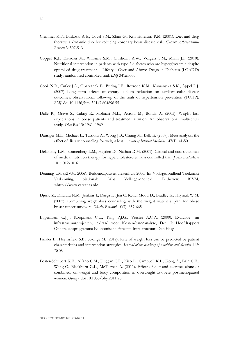- Clemmer K.F., Binkoski A.E., Coval S.M., Zhao G., Kris-Etherton P.M. (2001). Diet and drug therapy: a dynamic duo for reducing coronary heart disease risk. *Current Atherosclerosis Reports* 3: 507-513
- Coppel K.J., Kataoka M., Williams S.M., Chisholm A.W., Vorgers S.M., Mann J.I. (2010). Nutritional intervention in patients with type 2 diabetes who are hyperglycaemic despite optimised drug treatment – Lifestyle Over and Above Drugs in Diabetes (LOADD) study: randomised controlled trial. *BMJ* 341:c3337
- Cook N.R., Cutler J.A., Obarzanek E., Buring J.E., Rexrode K.M., Kumanyika S.K., Appel L.J. (2007) Long term effects of dietary sodium reduction on cardiovascular disease outcomes: observational follow-up of the trials of hypertension prevention (TOHP). *BMJ:* doi:10.1136/bmj.39147.604896.55
- Dalle R., Grave S., Calugi E., Molinari M.L., Petroni M., Bondi, A. (2005). Weight loss expectations in obese patients and treatment attrition: An observational multicenter study. *Obes Res* 13: 1961–1969
- Dansiger M.L., Michael L., Tatsioni A., Wong J.B., Chung M., Balk E. (2007). Meta-analysis: the effect of dietary counseling for weight loss. *Annals of Internal Medicine* 147(1): 41-50
- Delahanty L.M., Sonnenberg L.M., Hayden D., Nathan D.M. (2001). Clinical and cost outcomes of medical nutrition therapy for hypercholesterolemia: a controlled trial. *J Am Diet Assoc* 101:1012-1016
- Deuning CM (RIVM, 2006). Beddencapaciteit ziekenhuis 2006. In: Volksgezondheid Toekomst Verkenning, Nationale Atlas Volksgezondheid. Bilthoven: RIVM, <http://www.careatlas.nl>
- Djuric Z., DiLaura N.M., Jenkins I., Darga L., Jen C. K.-L., Mood D., Bradley E., Hryniuk W.M. (2002). Combining weight-loss counseling with the weight watchers plan for obese breast cancer survivors. *Obesity Research* 10(7): 657-665
- Eijgenraam C.J.J., Koopmans C.C., Tang P.J.G., Verster A.C.P., (2000). Evaluatie van infrastructuurprojecten; leidraad voor Kosten-batenanalyse, Deel I: Hoofdrapport Onderzoeksprogramma Economische Effecten Infrastructuur, Den Haag
- Finkler E., Heymsfield S.B., St-onge M. (2012). Rate of weight loss can be predicted by patient characteristics and intervention strategies. *Journal of the academy of nutrition and dietetics* 112: 75-80
- Foster-Schubert K.E., Alfano C.M., Duggan C.R., Xiao L., Campbell K.L., Kong A., Bain C.E., Wang C., Blackburn G.L., McTiernan A. (2011). Effect of diet and exercise, alone or combined, on weight and body composition in overweight-to-obese postmenopausal women. *Obesity*: doi 10.1038/oby.2011.76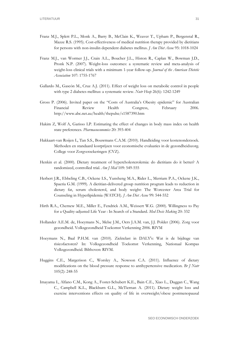- Franz M.J., Splett P.L., Monk A., Barry B., McClain K., Weaver T., Upham P., Bergenstal R., Mazze R.S. (1995). Cost-effectiveness of medical nutrition therapy provided by dietitians for persons with non-insulin dependent diabetes mellitus. *J Am Diet Assoc* 95: 1018-1024
- Franz M.J., van Wormer J.J., Crain A.L., Boucher J.L., Histon R., Caplan W., Bowman J.D., Pronk N.P. (2007). Weight-loss outcomes: a systematic review and meta-analysis of weight-loss clinical trials with a minimum 1-year follow-up. *Journal of the American Dietetic Association* 107: 1755-1767
- Gallardo M., Gascón M., Cruz A.J. (2011). Effect of weight loss on metabolic control in people with type 2 diabetes mellitus: a systematic review. *Nutr Hosp* 26(6): 1242-1249
- Gross P. (2006). Invited paper on the "Costs of Australia's Obesity epidemic" for Australian Financial Review Health Congress, February 2006. http://www.abc.net.au/health/thepulse/s1587390.htm
- Hakim Z, Wolf A, Garisso LP. Estimating the effect of changes in body mass index on health state preferences. *Pharmacoeconomics* 20: 393-404
- Hakkaart-van Roijen L, Tan S.S., Bouwmans C.A.M. (2010). Handleiding voor kostenonderzoek. Methoden en standaard kostprijzen voor economische evaluaties in de gezondheidszorg. College voor Zorgverzekeringen (CVZ).
- Henkin et al. (2000). Dietary treatment of hypercholesterolemia: do dietitians do it better? A randomized, controlled trial. *Am J Med* 109: 549-555
- Herbert J.R., Ebbeling C.B., Ockene I.S., Yunsheng M.A., Rider L., Merriam P.A., Ockene J.K., Spaeria G.M. (1999). A dietitian-delivered group nutrition program leads to reduction in dietary fat, serum cholesterol, and body weight: The Worcester Area Trial for Counseling in Hyperlipidemia (WATCH). *J Am Diet Assoc* 99: 544-552
- Hirth R.A., Chernew M.E., Miller E., Fendrick A.M., Weissert W.G. (2000). Willingness to Pay for a Quality-adjusted Life Year : In Search of a Standard. *Med Decis Making* 20: 332
- Hollander A.E.M. de, Hoeymans N., Melse J.M., Oers J.A.M. van, J.J. Polder (2006). Zorg voor gezondheid. Volksgezondheid Toekomst Verkenning 2006. RIVM
- Hoeymans N., Baal P.H.M. van (2010). Ziektelast in DALY's: Wat is de bijdrage van risicofactoren? In: Volksgezondheid Toekomst Verkenning, Nationaal Kompas Volksgezondheid. Bilthoven: RIVM.
- Huggins C.E., Margerison C., Worsley A., Nowson C.A. (2011). Influence of dietary modifications on the blood pressure response to antihypertensive medication. *Br J Nutr* 105(2): 248-55
- Imayama I., Alfano C.M., Kong A., Foster-Schubert K.E., Bain C.E., Xiao L., Duggan C., Wang C., Campbell K.L., Blackburn G.L., McTiernan A. (2011). Dietary weight loss and exercise interventions effects on quality of life in overweight/obese postmenopausal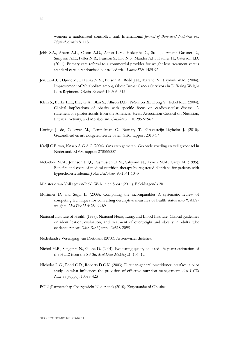women: a randomized controlled trial. International *Journal of Behavioral Nutrition and Physical Activity* 8: 118

- Jebb S.A., Ahern A.L., Olson A.D., Aston L.M., Holzapfel C., Stoll J., Amann-Gassner U., Simpson A.E., Fuller N.R., Pearson S., Lau N.S., Mander A.P., Hauner H., Caterson I.D. (2011). Primary care referral to a commercial provider for weight loss treatment versus standard care: a randomised controlled trial. *Lancet* 378: 1485-92
- Jen. K.-L.C., Djuric Z., DiLaura N.M., Buison A., Redd J.N., Maranci V., Hryniuk W.M. (2004). Improvement of Metabolism among Obese Breast Cancer Survivors in Differing Weight Loss Regimens. *Obesity Research* 12: 306–312
- Klein S., Burke L.E., Bray G.A., Blari S., Allison D.B., Pi-Sunyer X., Hong Y., Eckel R.H. (2004). Clinical implications of obesity with specific focus on cardiovascular disease. A statement for professionals from the American Heart Association Council on Nutrition, Physical Activity, and Metabolism. *Circulation* 110: 2952-2967
- Koning J. de, Collewet M., Tempelman C., Berretty T., Gravesteijn-Ligthelm J. (2010). Gezondheid en arbeidsgerelateerde baten. SEO rapport 2010-17
- Kreijl C.F. van, Knaap A.G.A.C (2004). Ons eten gemeten. Gezonde voeding en veilig voedsel in Nederland. RIVM rapport 270555007
- McGehee M.M., Johnson E.Q., Rasmussen H.M., Sahyoun N., Lynch M.M., Carey M. (1995). Benefits and costs of medical nutrition therapy by registered dietitians for patients with hypercholesterolemia. *J Am Diet Assoc* 95:1041-1043
- Ministerie van Volksgezondheid, Welzijn en Sport (2011). Beleidsagenda 2011
- Mortimer D. and Segal L. (2008). Comparing the incomparable? A systematic review of competing techniques for converting descriptive measures of health status into WALYweights. *Med Dec Mak* 28: 66-89
- National Institute of Health (1998). National Heart, Lung, and Blood Institute. Clinical guidelines on identification, evaluation, and treatment of overweight and obesity in adults. The evidence report. *Obes. Res* 6(suppl. 2):51S-209S
- Nederlandse Vereniging van Dietitians (2010). Artsenwijzer diëtetiek.
- Nichol M.B., Sengupta N., Globe D. (2001). Evaluating quality-adjusted life years: estimation of the HUI2 from the SF-36. *Med Decis Making* 21: 105–12.
- Nicholas L.G., Pond C.D., Roberts D.C.K. (2003). Dietitian-general practitioner interface: a pilot study on what influences the provision of effective nutrition management. *Am J Clin Nutr* 77(suppl.): 1039S-42S
- PON (Partnerschap Overgewicht Nederland) (2010). Zorgstandaard Obesitas.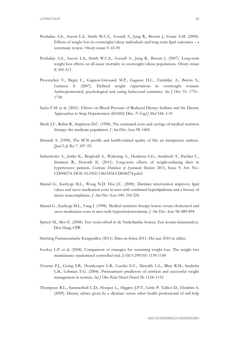- Poobalan A.S., Aucott L.S., Smith W.C.S., Avenell A., Jung R., Broom J., Grant A.M. (2004). Effects of weight loss in overweight/obese individuals and long-term lipid outcomes – a systematic review. *Obesity reviews* 5: 43-50
- Poobalan A.S., Aucott L.S., Smith W.C.S., Avenell A., Jung R., Broom J. (2007). Long-term weight loss effects on all-cause mortality in overweight/obese populations. *Obesity reviews*  8: 505-513
- Provencher V., Bégin C., Gagnon-Girouard M.P., Gagnon H.C., Tremblay A., Boivin S., Lemieux S. (2007). Defined weight expectations in overweight women: Anthropometrical, psychological and eating behavioral correlates. *Int J Obes* 31: 1731– 1738
- Sacks F.M. et al. (2001). Effects on Blood Pressure of Reduced Dietary Sodium and the Dietary Approaches to Stop Hypertension (DASH) Diet. *N Engl J Med* 344: 3-10
- Sheils J.F., Rubin R., Stapleton D.C. (1998). The estimated costs and savings of medical nutrition therapy: the medicare population*. J Am Diet Assoc* 98: 1404
- Shmueli A. (1998). The SF36 profile and health-related quality of life: an interpretive analysis. *Qual Life Res* 7: 187–95.
- Siebenhofer A., Jeitler K., Berghold A., Waltering A., Hemkens L.G., Semlitsch T., Pachler C., Strametz R., Horvath K. (2011). Long-term effects of weight-reducing diets in hypertensive patients. *Cochrane Database of Systematic Reviews* 2011, Issue 9. Art. No.: CD008274. DOI: 10.1002/14651858.CD008274.pub2.
- Sikand G., Kashyap M.L., Wong N.D. Hsu J.C. (2000). Dietitian intervention improves lipid values and saves medication costs in men with combined hyperlipidemia and a history of niacin noncompliance. *J Am Diet Assoc* 100: 218-224
- Sikand G., Kashyap M.L., Yang I. (1998). Medical nutrition therapy lowers serum cholesterol and saves medication costs in men with hypercholesterolemia. *J Am Diet Assoc* 98: 889-894
- Spreen M., Mot E. (2008). Een rookverbod in de Nederlandse horeca. Een kosten-batenanalyse. Den Haag: CPB
- Stichting Farmaceutische Kengetallen (2011). Data en feiten 2011. Het jaar 2010 in cijfers.
- Svetkey L.P. et al. (2008). Comparison of strategies for sustaining weight loss. The weight loss maintenance randomized controlled trial. *JAMA* 299(10): 1139-1148
- Teixeira P.J., Going S.B., Houtkooper L.B., Cussler E.C., Metcalfe L.L., Blew R.M., Sardinha L.B., Lohman T.G. (2004). Pretreatment predictors of attrition and successful weight management in women. *Int J Obes Relat Metab Disord* 28: 1124–1133
- Thompson R.L., Summerbell C.D., Hooper L., Higgins J.P.T., Little P. Talbot D., Ebrahim S. (2009). Dietary advice given by a dietitian versus other health professional of self-help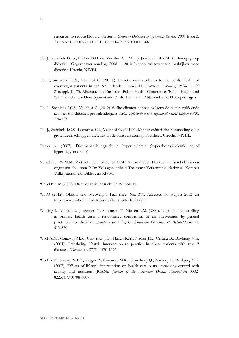resources to reduce blood cholesterol. *Cochrane Database of Systematic Reviews 2003* Issue 3. Art. No.: CD001366. DOI: 10.1002/14651858.CD001366.

- Tol J., Swinkels I.C.S., Bakker D.H. de, Veenhof C. (2011a). [Jaarboek LiPZ 2010: Beroepsgroep](http://www.nivel.nl/sites/all/modules/wwwopac/adlib/publicationDetails.php?database=ChoicePublicat&priref=1002156)  diëtetiek. Gegevensverzameling 2008 – [2010 binnen vrijgevestigde praktijken voor](http://www.nivel.nl/sites/all/modules/wwwopac/adlib/publicationDetails.php?database=ChoicePublicat&priref=1002156)  [diëtetiek. U](http://www.nivel.nl/sites/all/modules/wwwopac/adlib/publicationDetails.php?database=ChoicePublicat&priref=1002156)trecht, NIVEL.
- Tol J., Swinkels I.C.S., Veenhof C. (2011b). Dietetic care attributes to the public health of overweight patients in the Netherlands, 2006–2011. *European Journal of Public Health* 21(suppl. 1), 75. Abstract. 4th European Public Health Conference: 'Public Health and Welfare - Welfare Development and Public Health' 9-12 November 2011, Copenhagen
- Tol J., Swinkels I.C.S., Veenhof C. (2012) Welke clienten hebben volgens de diëtist voldoende aan vier uur diëtetiek per kalenderjaar? *TSG: Tijdschrift voor Gezondheidswetenschappen* 90(3), 176-183
- Tol J., Swinkels I.C.S., Leemrijse C.J., Veenhof C. (2012b). Minder diëtistische behandeling door grotendeels schrappen diëtetiek uit de basisverzekering. Factsheet. Utrecht: NIVEL.
- Tump A. (2007). Dieetbehandelingsrichtlijn hyperlipidemie (hypercholesterolemie en/of hypertriglyceridemie)
- Verschuren W.M.M., Viet A.L., Leent-Loenen H.M.J.A. van (2008). Hoeveel mensen hebben een ongunstig cholesterol? In: Volksgezondheid Toekomst Verkenning, Nationaal Kompas Volksgezondheid. Bilthoven: RIVM.
- Wezel B. van (2000). Dieetbehandelingsrichtlijn Adipositas.
- WHO (2012). Obesity and overweight. Fact sheet No. 311. Accessed 30 August 2012 via <http://www.who.int/mediacentre/factsheets/fs311/en/>
- Willaing I., Ladelun S., Jørgensen T., Simonsen T., Nielsen L.M. (2004). Nutritional counselling in primary health care: a randomized comparison of an intervention by general practitioner or dietician. *European Journal of Cardiovascular Prevention*  $\mathcal{C}^*$  *Rehabilitation* 11: 513-520
- Wolf A.M., Conaway M.R., Crowther J.Q., Hazen K.Y., Nadler J.L., Oneida B., Bovbjerg V.E. (2004). Translating lifestyle intervention to practice in obese patients with type 2 diabetes. *Diabetes care* 27(7): 1570-1576
- Wolf A.M., Siadaty M.I.R., Yaeger B., Conaway M.R., Crowther J.Q., Nadler J.L., Bovbjerg V.E. (2007). Effects of lifestyle intervention on health care costs: improving control with activity and nutrition (ICAN). *Journal of the American Dietetic Association*: 0002- 8223/07/10708-0007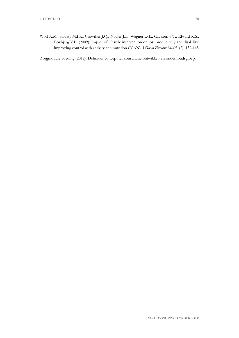Wolf A.M., Siadaty M.I.R., Crowther J.Q., Nadler J.L., Wagner D.L., Cavalieri S.T., Elward K.S., Bovbjerg V.E. (2009). Impact of lifestyle intervention on lost productivity and disability: improving control with activity and nutrition (ICAN). *J Occup Environ Med* 51(2): 139-145

Zorgmodule voeding (2012). Definitief concept ter consultatie ontwikkel- en onderhoudsgroep.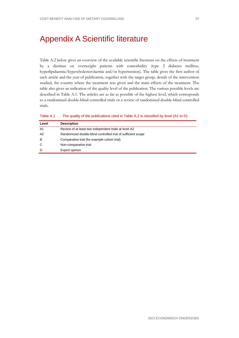# <span id="page-46-0"></span>Appendix A Scientific literature

Table A.2 below gives an overview of the available scientific literature on the effects of treatment by a dietitian on overweight patients with comorbidity (type 2 diabetes mellitus, hyperlipidaemia/hypercholesterolaemia and/or hypertension). The table gives the first author of each article and the year of publication, together with the target group, details of the intervention studied, the country where the treatment was given and the main effects of the treatment. The table also gives an indication of the quality level of the publication. The various possible levels are described in [Table A.1.](#page-46-1) The articles are as far as possible of the highest level, which corresponds to a randomized double-blind controlled trials or a review of randomized double-blind controlled trials.

<span id="page-46-1"></span>

| Table A.1 |  |  | The quality of the publications cited in Table A.2 is classified by level (A1 to D) |  |  |
|-----------|--|--|-------------------------------------------------------------------------------------|--|--|
|-----------|--|--|-------------------------------------------------------------------------------------|--|--|

| Level | <b>Description</b>                                           |
|-------|--------------------------------------------------------------|
| A1    | Review of at least two independent trials at level A2        |
| A2    | Randomized double-blind controlled trial of sufficient scope |
| в     | Comparative trial (for example cohort trial)                 |
| C     | Non-comparative trial                                        |
| D     | Expert opinion                                               |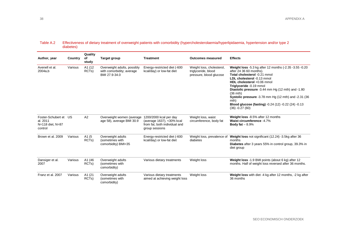## Table A.2 Effectiveness of dietary treatment of overweight patients with comorbidity (hypercholesterolaemia/hyperlipidaemia, hypertension and/or type 2 diabetes)

| Author, year                                                     | Country | Quality<br>of<br>study       | <b>Target group</b>                                                       | <b>Treatment</b>                                                                                       | <b>Outcomes measured</b>                                                    | <b>Effects</b>                                                                                                                                                                                                                                                                                                                                                                                                                |
|------------------------------------------------------------------|---------|------------------------------|---------------------------------------------------------------------------|--------------------------------------------------------------------------------------------------------|-----------------------------------------------------------------------------|-------------------------------------------------------------------------------------------------------------------------------------------------------------------------------------------------------------------------------------------------------------------------------------------------------------------------------------------------------------------------------------------------------------------------------|
| Avenell et al.<br>2004a.b                                        | Various | A1 (12<br>RCT <sub>s</sub> ) | Overweight adults, possibly<br>with comorbidity; average<br>BMI 27.9-34.0 | Energy-restricted diet (-600<br>kcal/day) or low-fat diet                                              | Weight loss, cholesterol,<br>triglyceride, blood<br>pressure, blood glucose | Weight loss -5.3 kg after 12 months (-2.35 -3.55 -0.20<br>after 24 36 60 months).<br>Total cholesterol -0.21 mmol<br>LDL cholesterol -0.13 mmol<br>HDL cholesterol +0.06 mmol<br>Triglyceride -0.19 mmol<br>Diastolic pressure -3.44 mm Hg (12 mth) and -1.80<br>$(36$ mth)<br>Systolic pressure -3.78 mm Hg (12 mth) and -2.31 (36<br>mth)<br><b>Blood glucose (fasting)</b> -0.24 (12) -0.22 (24) -0.13<br>$(36) -0.27(60)$ |
| Foster-Schubert et US<br>al. 2011<br>N=118 diet, N=87<br>control |         | A2                           | Overweight women (average<br>age 58), average BMI 30.9                    | 1200/2000 kcal per day<br>(average 1637), <30% kcal<br>from fat, both individual and<br>group sessions | Weight loss, waist<br>circumference, body fat                               | Weight loss -8.5% after 12 months<br>Waist circumference -4.7%<br>Body fat $-8.9%$                                                                                                                                                                                                                                                                                                                                            |
| Brown et al. 2009                                                | Various | A1 (5<br>RCT <sub>s</sub> )  | Overweight adults<br>(sometimes with<br>comorbidity) BMI<35               | Energy-restricted diet (-600<br>kcal/day) or low-fat diet                                              | Weight loss, prevalence of<br>diabetes                                      | Weight loss not significant (12.24) -3.5kg after 36<br>months<br><b>Diabetes</b> after 3 years 55% in control group, 39.3% in<br>diet group                                                                                                                                                                                                                                                                                   |
| Dansiger et al.<br>2007                                          | Various | A1 (46<br>RCT <sub>s</sub> ) | Overweight adults<br>(sometimes with<br>comorbidity)                      | Various dietary treatments                                                                             | Weight loss                                                                 | Weight loss -1.9 BMI points (about 6 kg) after 12<br>months. Half of weight loss reversed after 36 months.                                                                                                                                                                                                                                                                                                                    |
| Franz et al. 2007                                                | Various | A1 (21<br>RCT <sub>s</sub> ) | Overweight adults<br>(sometimes with<br>comorbidity)                      | Various dietary treatments<br>aimed at achieving weight loss                                           | Weight loss                                                                 | Weight loss with diet -4 kg after 12 months, -2 kg after<br>36 months                                                                                                                                                                                                                                                                                                                                                         |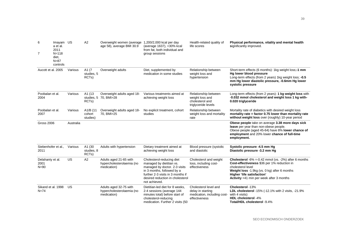| 6<br>$\overline{7}$                  | Imayam US<br>a et al.<br>2011<br>$N = 118$<br>diet,<br>$N = 87$<br>controls |           | A2                                         | Overweight women (average 1,200/2,000 kcal per day<br>age 58), average BMI 30.9 | (average 1637), <30% kcal<br>from fat, both individual and<br>group sessions                                                                                                                                   | Health-related quality of<br>life scores                                                   | Physical performance, vitality and mental health<br>significantly improved.                                                                                                                                                                                |
|--------------------------------------|-----------------------------------------------------------------------------|-----------|--------------------------------------------|---------------------------------------------------------------------------------|----------------------------------------------------------------------------------------------------------------------------------------------------------------------------------------------------------------|--------------------------------------------------------------------------------------------|------------------------------------------------------------------------------------------------------------------------------------------------------------------------------------------------------------------------------------------------------------|
| Aucott et al. 2005                   |                                                                             | Various   | A1 (7)<br>studies, 5<br>RCT <sub>s</sub> ) | Overweight adults                                                               | Diet, supplemented by<br>medication in some studies                                                                                                                                                            | Relationship between<br>weight loss and<br>hypertension                                    | Short-term effects (6 months): 1kg weight loss;-1 mm<br>Hg lower blood pressure<br>Long-term effects (from 2 years) 1kg weight loss; -0.5<br>mm Hg lower diastolic pressure, -0.6mm Hg lower<br>systolic pressure                                          |
| Poobalan et al.<br>2004              |                                                                             | Various   | A1 (13<br>RCT <sub>s</sub> )               | Overweight adults aged 18-<br>studies, 5 70, BMI>28                             | Various treatments aimed at<br>achieving weight loss                                                                                                                                                           | Relationship between<br>weight loss and<br>cholesterol and<br>triglyceride levels          | Long-term effects (from 2 years): 1 kg weight loss with<br>-0.032 mmol cholesterol and weight loss 1 kg with-<br>0.020 triglyceride                                                                                                                        |
| Poobalan et al.<br>2007              |                                                                             | Various   | A1/B (11<br>cohort<br>studies)             | Overweight adults aged 18-<br>70, BMI>25                                        | No explicit treatment, cohort<br>studies                                                                                                                                                                       | Relationship between<br>weight loss and mortality<br>rate                                  | Mortality rate of diabetics with desired weight loss<br>mortality rate = factor 0.75 lower than mortality rate<br>without weight loss over (roughly) 10-year period                                                                                        |
| <b>Gross 2006</b>                    |                                                                             | Australia |                                            |                                                                                 |                                                                                                                                                                                                                |                                                                                            | Obese people take on average 3.38 more days sick<br>leave per year than non-obese people.<br>Obese people (aged 45-64) have 8% lower chance of<br>employment and 20% lower chance of full-time<br>employment.                                              |
| Siebenhofer et al.,<br>2011          |                                                                             | Various   | A1 (30<br>studies, 8<br>RCT <sub>s</sub> ) | Adults with hypertension                                                        | Dietary treatment aimed at<br>achieving weight loss                                                                                                                                                            | Blood pressure (systolic<br>and diastolic                                                  | Systolic pressure -4.5 mm Hg<br>Diastolic pressure -3.2 mm Hq                                                                                                                                                                                              |
| Delahanty et al.<br>2001<br>$N = 90$ |                                                                             | <b>US</b> | A2                                         | Adults aged 21-65 with<br>hypercholesterolaemia (no<br>medication)              | Cholesterol-reducing diet<br>managed by dietitian vs.<br>managed by doctor. 2-3 visits<br>in 3 months, followed by a<br>further 2-3 visits in 3 months if<br>desired reduction in cholesterol<br>not achieved. | Cholesterol and weight<br>loss, including cost-<br>effectiveness                           | <b>Cholesterol</b> -6% = -0.42 mmol (vs. -2%) after 6 months<br>Cost-effectiveness \$36 per 1% reduction in<br>cholesterol level<br>Weight loss -1.9kg (vs. 0 kg) after 6 months<br>Higher 'life satisfaction'<br>Activity +41 min per week after 3 months |
| Sikand et al. 1998<br>$N = 74$       |                                                                             | US        |                                            | Adults aged 32-75 with<br>hypercholesterolaemia (no<br>medication)              | Dietitian-led diet for 8 weeks,<br>2-4 sessions (average 144<br>minutes total) before start of<br>cholesterol-reducing<br>medication. Further 2 visits (50                                                     | Cholesterol level and<br>delay in starting<br>medication, including cost-<br>effectiveness | Cholesterol -13%<br>LDL cholesterol -15% (-12.1% with 2 visits, -21.9%<br>with 4 visits)<br>HDL cholesterol -4%<br>Total/HDL cholesterol -9.4%                                                                                                             |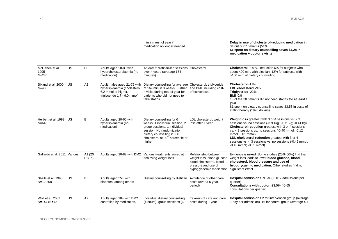|                                     |           |                 |                                                                                                                    | min.) in rest of year if<br>medication no longer needed.                                                                                                                                                            |                                                                                                                                    | Delay in use of cholesterol-reducing medication in<br>34 out of 67 patients (51%)<br>\$1 spent on dietary counselling saves \$4,28 in<br>medication + doctor's visits                                                                                                                                                                                                                                 |
|-------------------------------------|-----------|-----------------|--------------------------------------------------------------------------------------------------------------------|---------------------------------------------------------------------------------------------------------------------------------------------------------------------------------------------------------------------|------------------------------------------------------------------------------------------------------------------------------------|-------------------------------------------------------------------------------------------------------------------------------------------------------------------------------------------------------------------------------------------------------------------------------------------------------------------------------------------------------------------------------------------------------|
| McGehee et al.<br>1995<br>$N = 285$ | <b>US</b> | C               | Adults aged 20-80 with<br>hypercholesterolaemia (no<br>medication)                                                 | At least 2 dietitian-led sessions Cholesterol<br>over 4 years (average 134<br>minutes)                                                                                                                              |                                                                                                                                    | Cholesterol -8.6%. Reduction 6% for subjects who<br>spent <90 min. with dietitian, 12% for subjects with<br>>160 min. of dietary counselling                                                                                                                                                                                                                                                          |
| Sikand et al. 2000<br>$N = 43$      | US        | A2              | Adult males aged 21-75 with<br>hyperlipidaemia (cholesterol<br>6.2 mmol or higher,<br>triglyceride 1.7 - 9.0 mmol) | Dietary counselling for average<br>of 169 min in 8 weeks. Further<br>4 visits during rest of year for<br>patients who did not need to<br>take statins.                                                              | Cholesterol, triglyceride<br>and BMI, including cost-<br>effectiveness.                                                            | Cholesterol -11%<br>LDL cholesterol -9%<br>Triglyceride -22%<br>$BMI - 2%$<br>15 of the 30 patients did not need statins for at least 1<br>year<br>\$1 spent on dietary counselling saves \$3.58 in costs of<br>statin therapy (1996 dollars)                                                                                                                                                         |
| Herbert et al. 1999 US<br>$N = 645$ |           | B               | Adults aged 20-65 with<br>hyperlipidaemia (no<br>medication)                                                       | Dietary counselling for 6<br>weeks: 1 individual session, 2<br>group sessions, 1 individual<br>session. No randomization:<br>dietary counselling if LDL<br>cholesterol at 90 <sup>th</sup> percentile or<br>higher. | LDL cholesterol, weight<br>loss after 1 year                                                                                       | <b>Weight loss</b> greatest with 3 or 4 sessions $vs. < 3$<br>sessions vs. no sessions (-3.9 4kg; -1.71 kg; -0.41 kg)<br>Cholesterol reduction greatest with 3 or 4 sessions<br>$vs. < 3$ sessions vs. no sessions (-0.40 mmol; -0.12)<br>mmol; 0.01 mmol)<br>LDL cholesterol reduction greatest with 3 or 4<br>sessions vs. < 3 sessions vs. no sessions (-0.45 mmol;<br>$-0.10$ mmol; $-0.02$ mmol) |
| Gallardo et al. 2011 Various        |           | A1 (20<br>RCTs) |                                                                                                                    | Adults aged 20-82 with DM2 Various treatments aimed at<br>achieving weight loss                                                                                                                                     | Relationship between<br>weight loss, blood glucose,<br>blood cholesterol, blood<br>pressure and use of<br>hypoglycaemic medication | Evidence is mixed. Some studies (20%-50%) find that<br>weight loss leads to lower blood glucose, blood<br>cholesterol, blood pressure and use of<br>hypoglycaemic medication. Other studies find no<br>significant effect.                                                                                                                                                                            |
| Sheils et al. 1998<br>$N = 12.308$  | <b>US</b> | B               | Adults aged 55+ with<br>diabetes, among others                                                                     | Dietary counselling by dietitian                                                                                                                                                                                    | Avoidance of other care<br>costs (over a 6-year<br>period)                                                                         | Hospital admissions -9.5% (-0.017 admissions per<br>quarter)<br>Consultations with doctor -23.5% (-0.65<br>consultations per quarter)                                                                                                                                                                                                                                                                 |
| Wolf et al. 2007<br>N=144 (N=72     | US        | A2              | Adults aged 20+ with DM2<br>controlled by medication,                                                              | Individual dietary counselling<br>(4 hours), group sessions (6                                                                                                                                                      | Take-up of care and care<br>costs during 1 year                                                                                    | Hospital admissions 2 for intervention group (average<br>1 day per admission), 16 for control group (average 4.7                                                                                                                                                                                                                                                                                      |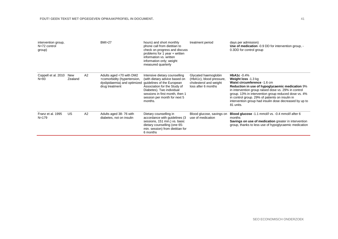| intervention group,<br>$N=72$ control<br>group) |                |    | <b>BMI&gt;27</b>                                                                                                                     | hours) and short monthly<br>phone call from dietitian to<br>check on progress and discuss<br>problems for 1 year + written<br>information vs. written<br>information only; weight<br>measured quarterly   | treatment period                                                                                  | days per admission)<br><b>Use of medication</b> -0.9 DD for intervention group, -<br>0.3DD for control group                                                                                                                                                                                                                                                                  |
|-------------------------------------------------|----------------|----|--------------------------------------------------------------------------------------------------------------------------------------|-----------------------------------------------------------------------------------------------------------------------------------------------------------------------------------------------------------|---------------------------------------------------------------------------------------------------|-------------------------------------------------------------------------------------------------------------------------------------------------------------------------------------------------------------------------------------------------------------------------------------------------------------------------------------------------------------------------------|
| Coppell et al. 2010<br>$N = 93$                 | New<br>Zealand | A2 | Adults aged <70 with DM2<br>+comorbidity (hypertension,<br>dyslipidaemia) and optimized guidelines of the European<br>drug treatment | Intensive dietary counselling<br>(with dietary advice based on<br>Association for the Study of<br>Diabetes). Two individual<br>sessions in first month, then 1<br>session per month for next 5<br>months. | Glycated haemoglobin<br>(HbA1c), blood pressure,<br>cholesterol and weight<br>loss after 6 months | HbA <sub>1</sub> c $-0.4%$<br>Weight loss -1.3 kg<br>Waist circumference -1.6 cm<br>Reduction in use of hypoglycaemic medication 9%<br>in intervention group raised dose vs. 29% in control<br>group. 13% in intervention group reduced dose vs. 4%<br>in control group. 29% of patients on insulin in<br>intervention group had insulin dose decreased by up to<br>81 units. |
| Franz et al. 1995<br>$N = 179$                  | US             | A2 | Adults aged 38-76 with<br>diabetes, not on insulin                                                                                   | Dietary counselling in<br>accordance with guidelines (3)<br>sessions, 151 min.) vs. basic<br>dietary counselling (one 65-<br>min. session) from dietitian for<br>6 months                                 | Blood glucose, savings on<br>use of medication                                                    | Blood glucose -1.1 mmol/l vs. -0.4 mmol/l after 6<br>months<br>Savings on use of medication greater in intervention<br>group, thanks to less use of hypoglycaemic medication                                                                                                                                                                                                  |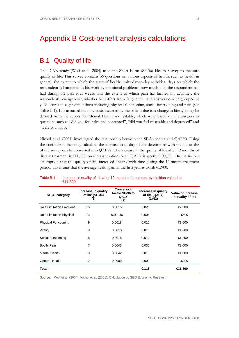# <span id="page-52-0"></span>Appendix B Cost-benefit analysis calculations

# B.1 Quality of life

The ICAN study (Wolf et al. 2004) used the Short Form (SF-36) Health Survey to measure quality of life. This survey contains 36 questions on various aspects of health, such as health in general, the extent to which the state of health limits day-to-day activities, days on which the respondent is hampered in his work by emotional problems, how much pain the respondent has had during the past four weeks and the extent to which pain has limited his activities, the respondent's energy level, whether he suffers from fatigue etc. The answers can be grouped to yield scores in eight dimensions including physical functioning, social functioning and pain (see Table B.1). It is assumed that any costs incurred by the patient due to a change in lifestyle may be derived from the scores for Mental Health and Vitality, which were based on the answers to questions such as "did you feel calm and contented", "did you feel miserable and depressed" and "were you happy".

Nichol et al. (2001) investigated the relationship between the SF-36 scores and QALYs. Using the coefficients that they calculate, the increase in quality of life determined with the aid of the SF-36 survey can be converted into QALYs. The increase in the quality of life after 12 months of dietary treatment is €11,800, on the assumption that 1 QALY is worth €100,000. On the further assumption that the quality of life increased linearly with time during the 12-month treatment period, this means that the average health gain in the first year is worth €5,900.

| SF-36 category                   | Increase in quality<br>of life (SF-36)<br>(1) | <b>Conversion</b><br>factor SF-36 to<br><b>QALY</b><br>(2) | Increase in quality<br>of life (QALY)<br>$(1)$ <sup>*</sup> $(2)$ | Value of increase<br>in quality of life |
|----------------------------------|-----------------------------------------------|------------------------------------------------------------|-------------------------------------------------------------------|-----------------------------------------|
| <b>Role Limitation Emotional</b> | 15                                            | 0.0015                                                     | 0.023                                                             | €2,300                                  |
| Role Limitation Physical         | 13                                            | 0.00046                                                    | 0.006                                                             | €600                                    |
| <b>Physical Functioning</b>      | 9                                             | 0.0018                                                     | 0.016                                                             | €1,600                                  |
| Vitality                         | 9                                             | 0.0018                                                     | 0.016                                                             | €1,600                                  |
| Social Functioning               | 8                                             | 0.0015                                                     | 0.012                                                             | €1,200                                  |
| <b>Bodily Pain</b>               | 7                                             | 0.0043                                                     | 0.030                                                             | €3,000                                  |
| Mental Health                    | 3                                             | 0.0042                                                     | 0.013                                                             | €1,300                                  |
| General Health                   | 2                                             | 0.0009                                                     | 0.002                                                             | €200                                    |
| <b>Total</b>                     |                                               |                                                            | 0.118                                                             | €11,800                                 |

### Table B.1. Increase in quality of life after 12 months of treatment by dietitian valued at €11,800

Source: Wolf et al. (2004), Nichol et al. (2001). Calculation by SEO Economic Research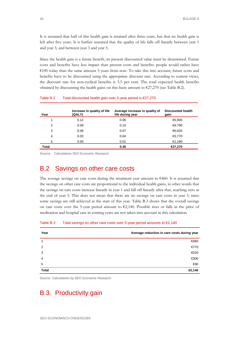It is assumed that half of this health gain is retained after three years, but that no health gain is left after five years. It is further assumed that the quality of life falls off linearly between year 1 and year 3, and between year 3 and year 5.

Since the health gain is a future benefit, its present discounted value must be determined. Future costs and benefits have less impact than present costs and benefits: people would rather have  $\epsilon$ 100 today than the same amount 5 years from now. To take this into account, future costs and benefits have to be discounted using the appropriate discount rate. According to current views, the discount rate for non-cyclical benefits is 5.5 per cent. The total expected health benefits obtained by discounting the health gains on this basis amount to  $\epsilon$ 27,270 (see Table B.2).

| Year  | Increase in quality of life<br>(QALY) | Average increase in quality of<br>life during year | <b>Discounted health</b><br>gain |
|-------|---------------------------------------|----------------------------------------------------|----------------------------------|
|       | 0.12                                  | 0.06                                               | €5,900                           |
| 2     | 0.09                                  | 0.10                                               | €9,790                           |
| 3     | 0.06                                  | 0.07                                               | €6,620                           |
| 4     | 0.03                                  | 0.04                                               | €3,770                           |
| 5     | 0.00                                  | 0.01                                               | €1,190                           |
| Total |                                       | 0.30                                               | €27,270                          |

## Table B.2 Total discounted health gain over 5-year period is €27,270

Source: Calculations SEO Economic Research

# B.2 Savings on other care costs

The average savings on care costs during the treatment year amount to  $\epsilon$ 460. It is assumed that the savings on other care costs are proportional to the individual health gains, in other words that the savings on care costs increase linearly in year 1 and fall off linearly after that, reaching zero at the end of year 5. This does not mean that there are no savings on care costs in year 5, since some savings are still achieved at the start of this year. Table B.3 shows that the overall savings on care costs over the 5-year period amount to  $\epsilon$ 2,140. Possible rises or falls in the price of medication and hospital care in coming years are not taken into account in this calculation.

| Year           | Average reduction in care costs during year |
|----------------|---------------------------------------------|
|                | €460                                        |
| $\overline{2}$ | €770                                        |
| 3              | €520                                        |
| $\overline{4}$ | €300                                        |
| 5              | €90                                         |
| <b>Total</b>   | €2,140                                      |

## Table B.3 Total savings on other care costs over 5-year period amounts to  $\epsilon$ 2,140

Source: Calculations by SEO Economic Research

# B.3. Productivity gain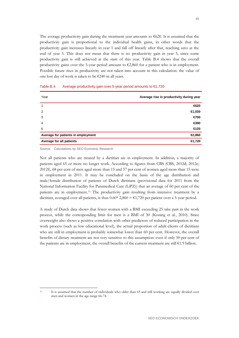The average productivity gain during the treatment year amounts to  $\epsilon$ 620. It is assumed that the productivity gain is proportional to the individual health gains, in other words that the productivity gain increases linearly in year 1 and fall off linearly after that, reaching zero at the end of year 5. This does not mean that there is no productivity gain in year 5, since some productivity gain is still achieved at the start of this year. Table B.4 shows that the overall productivity gains over the 5-year period amount to  $\epsilon$ 2,860 for a patient who is in employment. Possible future rises in productivity are not taken into account in this calculation: the value of one lost day of work is taken to be €240 in all years.

| Year                               | Average rise in productivity during year |
|------------------------------------|------------------------------------------|
|                                    | €620                                     |
| 2                                  | ∈1,030                                   |
| 3                                  | €700                                     |
| $\overline{4}$                     | €390                                     |
| 5                                  | €120                                     |
| Average for patients in employment | €2,860                                   |
| Average for all patients           | €1,720                                   |

Table B.4 Average productivity gain over 5-year period amounts to €1,720

Source: Calculations by SEO Economic Research

Not all patients who are treated by a dietitian are in employment. In addition, a majority of patients aged 65 or more no longer work. According to figures from CBS (CBS, 2012d; 2012e; 2012f), 68 per cent of men aged more than 15 and 57 per cent of women aged more than 15 were in employment in 2011. It may be concluded on the basis of the age distribution and male/female distribution of patients of Dutch dietitians (provisional data for 2011 from the National Information Facility for Paramedical Care (LiPZ)) that an average of 60 per cent of the patients are in employment.[16](#page-54-0) The productivity gain resulting from intensive treatment by a dietitian, averaged over all patients, is thus  $0.60* 2,860 = \text{\textsterling}1,720$  per patient over a 5-year period.

A study of Dutch data shows that fewer women with a BMI exceeding 25 take part in the work process, while the corresponding limit for men is a BMI of 30 (Koning et al., 2010). Since overweight also shows a positive correlation with other predictors of reduced participation in the work process (such as low educational level), the actual proportion of adult clients of dietitians who are still in employment is probably somewhat lower than 60 per cent. However, the overall benefits of dietary treatment are not very sensitive to this assumption: even if only 50 per cent of the patients are in employment, the overall benefits of the current treatment are still  $\epsilon$ 1.9 billion.

<span id="page-54-0"></span>

 <sup>16</sup> It is assumed that the number of individuals who older than 65 and still working are equally divided over men and women in the age range 66-74.